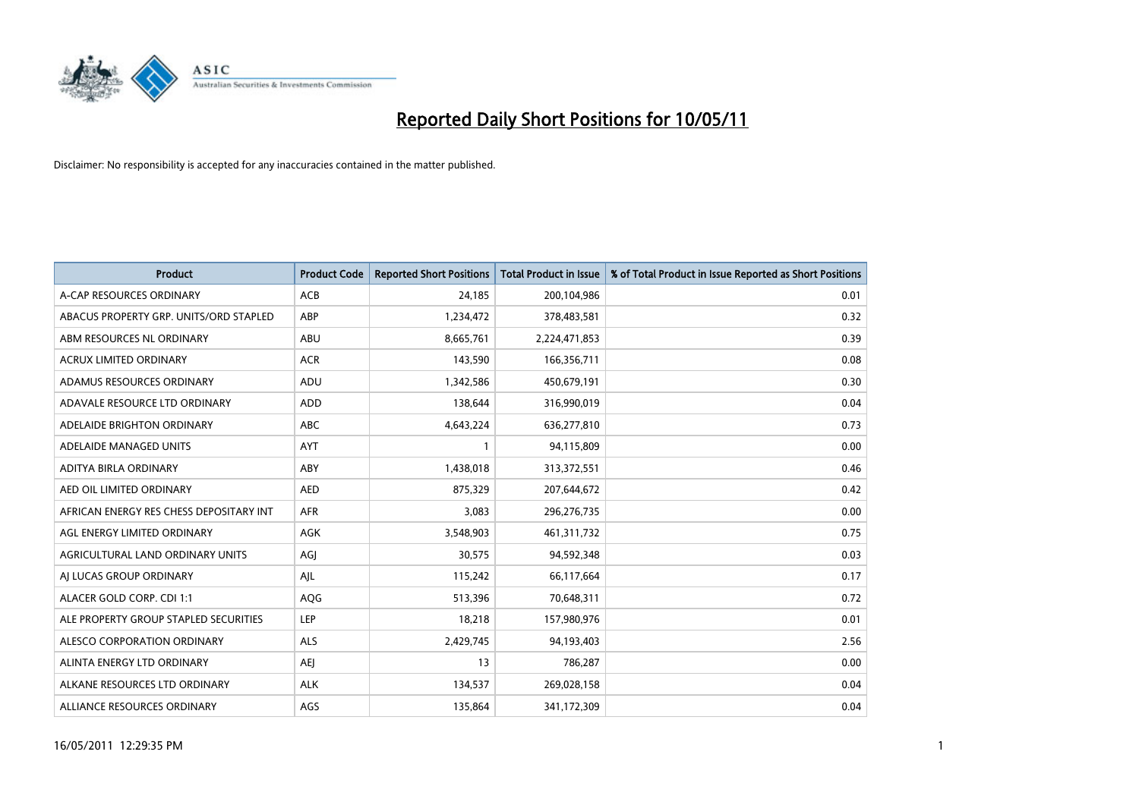

| <b>Product</b>                          | <b>Product Code</b> | <b>Reported Short Positions</b> | Total Product in Issue | % of Total Product in Issue Reported as Short Positions |
|-----------------------------------------|---------------------|---------------------------------|------------------------|---------------------------------------------------------|
| A-CAP RESOURCES ORDINARY                | <b>ACB</b>          | 24,185                          | 200,104,986            | 0.01                                                    |
| ABACUS PROPERTY GRP. UNITS/ORD STAPLED  | <b>ABP</b>          | 1,234,472                       | 378,483,581            | 0.32                                                    |
| ABM RESOURCES NL ORDINARY               | ABU                 | 8,665,761                       | 2,224,471,853          | 0.39                                                    |
| ACRUX LIMITED ORDINARY                  | <b>ACR</b>          | 143,590                         | 166,356,711            | 0.08                                                    |
| ADAMUS RESOURCES ORDINARY               | ADU                 | 1,342,586                       | 450,679,191            | 0.30                                                    |
| ADAVALE RESOURCE LTD ORDINARY           | <b>ADD</b>          | 138,644                         | 316,990,019            | 0.04                                                    |
| ADELAIDE BRIGHTON ORDINARY              | <b>ABC</b>          | 4,643,224                       | 636,277,810            | 0.73                                                    |
| ADELAIDE MANAGED UNITS                  | <b>AYT</b>          |                                 | 94,115,809             | 0.00                                                    |
| ADITYA BIRLA ORDINARY                   | ABY                 | 1,438,018                       | 313,372,551            | 0.46                                                    |
| AED OIL LIMITED ORDINARY                | <b>AED</b>          | 875,329                         | 207,644,672            | 0.42                                                    |
| AFRICAN ENERGY RES CHESS DEPOSITARY INT | <b>AFR</b>          | 3,083                           | 296,276,735            | 0.00                                                    |
| AGL ENERGY LIMITED ORDINARY             | <b>AGK</b>          | 3,548,903                       | 461,311,732            | 0.75                                                    |
| AGRICULTURAL LAND ORDINARY UNITS        | AGI                 | 30,575                          | 94,592,348             | 0.03                                                    |
| AJ LUCAS GROUP ORDINARY                 | AJL                 | 115,242                         | 66,117,664             | 0.17                                                    |
| ALACER GOLD CORP. CDI 1:1               | AQG                 | 513,396                         | 70,648,311             | 0.72                                                    |
| ALE PROPERTY GROUP STAPLED SECURITIES   | <b>LEP</b>          | 18,218                          | 157,980,976            | 0.01                                                    |
| ALESCO CORPORATION ORDINARY             | ALS                 | 2,429,745                       | 94,193,403             | 2.56                                                    |
| ALINTA ENERGY LTD ORDINARY              | <b>AEI</b>          | 13                              | 786,287                | 0.00                                                    |
| ALKANE RESOURCES LTD ORDINARY           | <b>ALK</b>          | 134,537                         | 269,028,158            | 0.04                                                    |
| ALLIANCE RESOURCES ORDINARY             | AGS                 | 135,864                         | 341,172,309            | 0.04                                                    |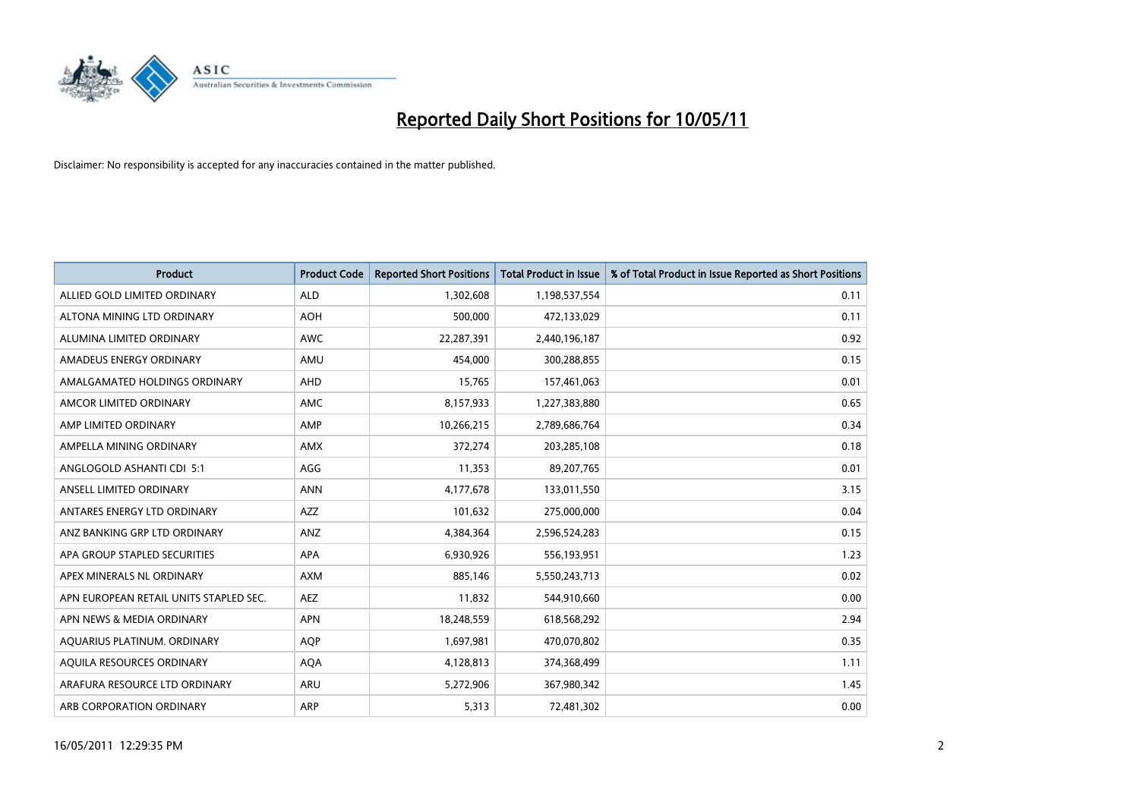

| <b>Product</b>                         | <b>Product Code</b> | <b>Reported Short Positions</b> | <b>Total Product in Issue</b> | % of Total Product in Issue Reported as Short Positions |
|----------------------------------------|---------------------|---------------------------------|-------------------------------|---------------------------------------------------------|
| ALLIED GOLD LIMITED ORDINARY           | <b>ALD</b>          | 1,302,608                       | 1,198,537,554                 | 0.11                                                    |
| ALTONA MINING LTD ORDINARY             | <b>AOH</b>          | 500,000                         | 472,133,029                   | 0.11                                                    |
| ALUMINA LIMITED ORDINARY               | <b>AWC</b>          | 22,287,391                      | 2,440,196,187                 | 0.92                                                    |
| AMADEUS ENERGY ORDINARY                | AMU                 | 454,000                         | 300,288,855                   | 0.15                                                    |
| AMALGAMATED HOLDINGS ORDINARY          | AHD                 | 15,765                          | 157,461,063                   | 0.01                                                    |
| AMCOR LIMITED ORDINARY                 | <b>AMC</b>          | 8,157,933                       | 1,227,383,880                 | 0.65                                                    |
| AMP LIMITED ORDINARY                   | AMP                 | 10,266,215                      | 2,789,686,764                 | 0.34                                                    |
| AMPELLA MINING ORDINARY                | <b>AMX</b>          | 372,274                         | 203,285,108                   | 0.18                                                    |
| ANGLOGOLD ASHANTI CDI 5:1              | AGG                 | 11,353                          | 89,207,765                    | 0.01                                                    |
| ANSELL LIMITED ORDINARY                | <b>ANN</b>          | 4,177,678                       | 133,011,550                   | 3.15                                                    |
| ANTARES ENERGY LTD ORDINARY            | <b>AZZ</b>          | 101,632                         | 275,000,000                   | 0.04                                                    |
| ANZ BANKING GRP LTD ORDINARY           | ANZ                 | 4,384,364                       | 2,596,524,283                 | 0.15                                                    |
| APA GROUP STAPLED SECURITIES           | <b>APA</b>          | 6,930,926                       | 556,193,951                   | 1.23                                                    |
| APEX MINERALS NL ORDINARY              | <b>AXM</b>          | 885,146                         | 5,550,243,713                 | 0.02                                                    |
| APN EUROPEAN RETAIL UNITS STAPLED SEC. | <b>AEZ</b>          | 11,832                          | 544,910,660                   | 0.00                                                    |
| APN NEWS & MEDIA ORDINARY              | APN                 | 18,248,559                      | 618,568,292                   | 2.94                                                    |
| AQUARIUS PLATINUM. ORDINARY            | <b>AQP</b>          | 1,697,981                       | 470,070,802                   | 0.35                                                    |
| AQUILA RESOURCES ORDINARY              | <b>AQA</b>          | 4,128,813                       | 374,368,499                   | 1.11                                                    |
| ARAFURA RESOURCE LTD ORDINARY          | <b>ARU</b>          | 5,272,906                       | 367,980,342                   | 1.45                                                    |
| ARB CORPORATION ORDINARY               | ARP                 | 5,313                           | 72,481,302                    | 0.00                                                    |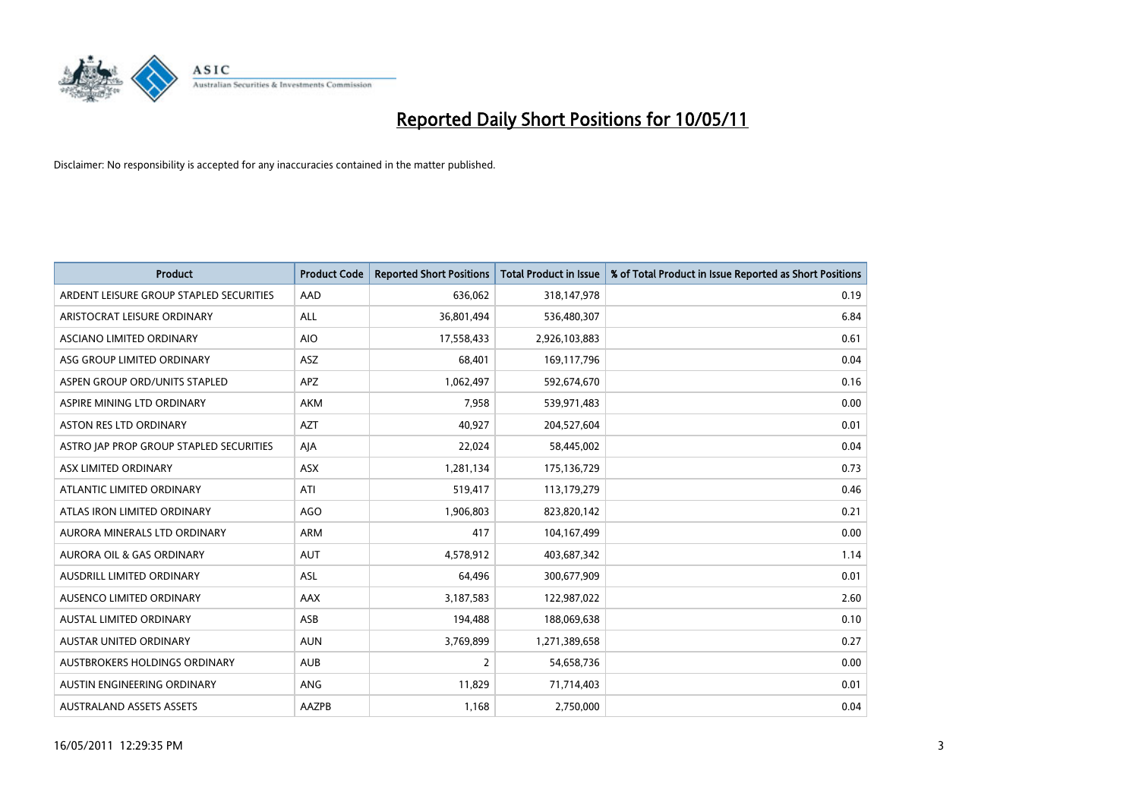

| <b>Product</b>                          | <b>Product Code</b> | <b>Reported Short Positions</b> | <b>Total Product in Issue</b> | % of Total Product in Issue Reported as Short Positions |
|-----------------------------------------|---------------------|---------------------------------|-------------------------------|---------------------------------------------------------|
| ARDENT LEISURE GROUP STAPLED SECURITIES | AAD                 | 636.062                         | 318,147,978                   | 0.19                                                    |
| ARISTOCRAT LEISURE ORDINARY             | <b>ALL</b>          | 36,801,494                      | 536,480,307                   | 6.84                                                    |
| ASCIANO LIMITED ORDINARY                | <b>AIO</b>          | 17,558,433                      | 2,926,103,883                 | 0.61                                                    |
| ASG GROUP LIMITED ORDINARY              | <b>ASZ</b>          | 68,401                          | 169,117,796                   | 0.04                                                    |
| ASPEN GROUP ORD/UNITS STAPLED           | APZ                 | 1,062,497                       | 592,674,670                   | 0.16                                                    |
| ASPIRE MINING LTD ORDINARY              | <b>AKM</b>          | 7,958                           | 539,971,483                   | 0.00                                                    |
| <b>ASTON RES LTD ORDINARY</b>           | <b>AZT</b>          | 40,927                          | 204,527,604                   | 0.01                                                    |
| ASTRO JAP PROP GROUP STAPLED SECURITIES | AJA                 | 22,024                          | 58,445,002                    | 0.04                                                    |
| ASX LIMITED ORDINARY                    | ASX                 | 1,281,134                       | 175,136,729                   | 0.73                                                    |
| ATLANTIC LIMITED ORDINARY               | ATI                 | 519,417                         | 113,179,279                   | 0.46                                                    |
| ATLAS IRON LIMITED ORDINARY             | AGO                 | 1,906,803                       | 823,820,142                   | 0.21                                                    |
| AURORA MINERALS LTD ORDINARY            | <b>ARM</b>          | 417                             | 104,167,499                   | 0.00                                                    |
| <b>AURORA OIL &amp; GAS ORDINARY</b>    | <b>AUT</b>          | 4,578,912                       | 403,687,342                   | 1.14                                                    |
| AUSDRILL LIMITED ORDINARY               | ASL                 | 64,496                          | 300,677,909                   | 0.01                                                    |
| AUSENCO LIMITED ORDINARY                | AAX                 | 3,187,583                       | 122,987,022                   | 2.60                                                    |
| <b>AUSTAL LIMITED ORDINARY</b>          | ASB                 | 194,488                         | 188,069,638                   | 0.10                                                    |
| AUSTAR UNITED ORDINARY                  | <b>AUN</b>          | 3,769,899                       | 1,271,389,658                 | 0.27                                                    |
| AUSTBROKERS HOLDINGS ORDINARY           | <b>AUB</b>          | $\overline{2}$                  | 54,658,736                    | 0.00                                                    |
| AUSTIN ENGINEERING ORDINARY             | <b>ANG</b>          | 11,829                          | 71,714,403                    | 0.01                                                    |
| <b>AUSTRALAND ASSETS ASSETS</b>         | AAZPB               | 1,168                           | 2,750,000                     | 0.04                                                    |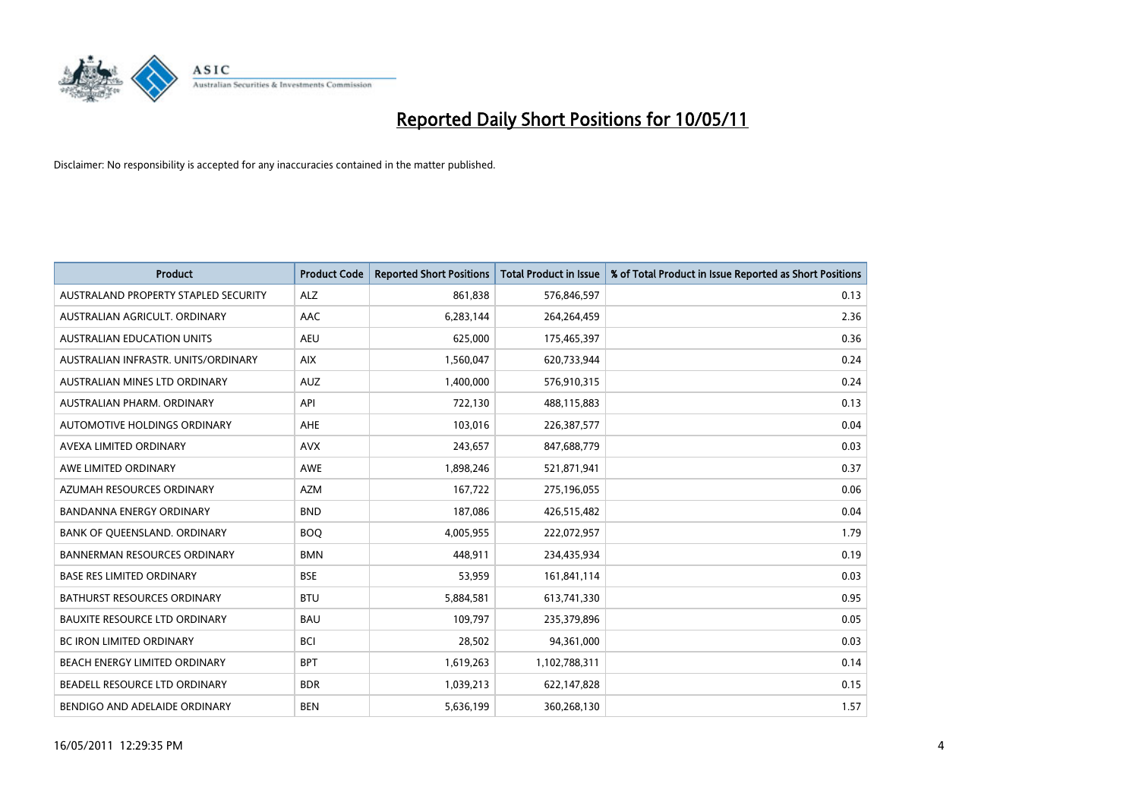

| <b>Product</b>                       | <b>Product Code</b> | <b>Reported Short Positions</b> | <b>Total Product in Issue</b> | % of Total Product in Issue Reported as Short Positions |
|--------------------------------------|---------------------|---------------------------------|-------------------------------|---------------------------------------------------------|
| AUSTRALAND PROPERTY STAPLED SECURITY | <b>ALZ</b>          | 861,838                         | 576,846,597                   | 0.13                                                    |
| AUSTRALIAN AGRICULT, ORDINARY        | AAC                 | 6,283,144                       | 264,264,459                   | 2.36                                                    |
| <b>AUSTRALIAN EDUCATION UNITS</b>    | <b>AEU</b>          | 625,000                         | 175,465,397                   | 0.36                                                    |
| AUSTRALIAN INFRASTR. UNITS/ORDINARY  | <b>AIX</b>          | 1,560,047                       | 620,733,944                   | 0.24                                                    |
| AUSTRALIAN MINES LTD ORDINARY        | <b>AUZ</b>          | 1,400,000                       | 576,910,315                   | 0.24                                                    |
| AUSTRALIAN PHARM. ORDINARY           | API                 | 722,130                         | 488,115,883                   | 0.13                                                    |
| AUTOMOTIVE HOLDINGS ORDINARY         | <b>AHE</b>          | 103,016                         | 226,387,577                   | 0.04                                                    |
| AVEXA LIMITED ORDINARY               | <b>AVX</b>          | 243,657                         | 847,688,779                   | 0.03                                                    |
| AWE LIMITED ORDINARY                 | <b>AWE</b>          | 1,898,246                       | 521,871,941                   | 0.37                                                    |
| AZUMAH RESOURCES ORDINARY            | <b>AZM</b>          | 167,722                         | 275,196,055                   | 0.06                                                    |
| <b>BANDANNA ENERGY ORDINARY</b>      | <b>BND</b>          | 187,086                         | 426,515,482                   | 0.04                                                    |
| BANK OF QUEENSLAND. ORDINARY         | <b>BOO</b>          | 4,005,955                       | 222,072,957                   | 1.79                                                    |
| <b>BANNERMAN RESOURCES ORDINARY</b>  | <b>BMN</b>          | 448.911                         | 234,435,934                   | 0.19                                                    |
| <b>BASE RES LIMITED ORDINARY</b>     | <b>BSE</b>          | 53,959                          | 161,841,114                   | 0.03                                                    |
| <b>BATHURST RESOURCES ORDINARY</b>   | <b>BTU</b>          | 5,884,581                       | 613,741,330                   | 0.95                                                    |
| BAUXITE RESOURCE LTD ORDINARY        | <b>BAU</b>          | 109,797                         | 235,379,896                   | 0.05                                                    |
| <b>BC IRON LIMITED ORDINARY</b>      | <b>BCI</b>          | 28,502                          | 94,361,000                    | 0.03                                                    |
| BEACH ENERGY LIMITED ORDINARY        | <b>BPT</b>          | 1,619,263                       | 1,102,788,311                 | 0.14                                                    |
| BEADELL RESOURCE LTD ORDINARY        | <b>BDR</b>          | 1,039,213                       | 622,147,828                   | 0.15                                                    |
| BENDIGO AND ADELAIDE ORDINARY        | <b>BEN</b>          | 5,636,199                       | 360,268,130                   | 1.57                                                    |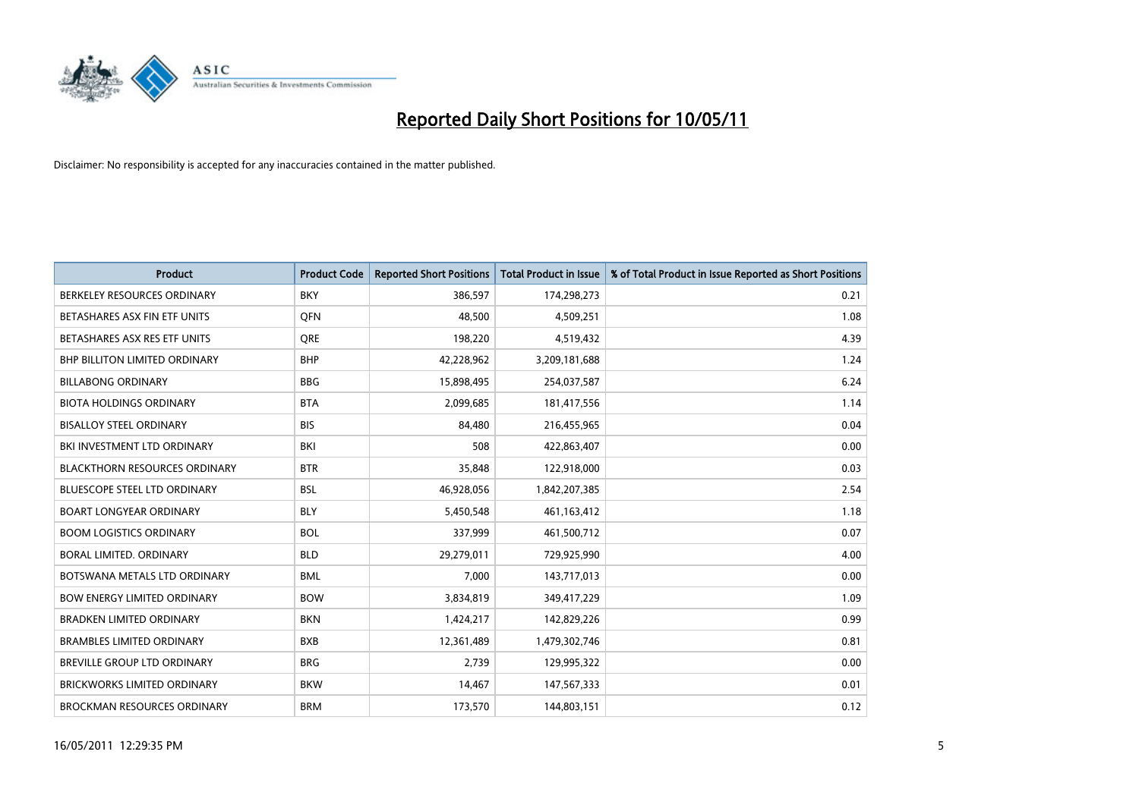

| Product                              | <b>Product Code</b> | <b>Reported Short Positions</b> | <b>Total Product in Issue</b> | % of Total Product in Issue Reported as Short Positions |
|--------------------------------------|---------------------|---------------------------------|-------------------------------|---------------------------------------------------------|
| BERKELEY RESOURCES ORDINARY          | <b>BKY</b>          | 386,597                         | 174,298,273                   | 0.21                                                    |
| BETASHARES ASX FIN ETF UNITS         | <b>OFN</b>          | 48,500                          | 4,509,251                     | 1.08                                                    |
| BETASHARES ASX RES ETF UNITS         | <b>ORE</b>          | 198,220                         | 4,519,432                     | 4.39                                                    |
| <b>BHP BILLITON LIMITED ORDINARY</b> | <b>BHP</b>          | 42,228,962                      | 3,209,181,688                 | 1.24                                                    |
| <b>BILLABONG ORDINARY</b>            | <b>BBG</b>          | 15,898,495                      | 254,037,587                   | 6.24                                                    |
| <b>BIOTA HOLDINGS ORDINARY</b>       | <b>BTA</b>          | 2,099,685                       | 181,417,556                   | 1.14                                                    |
| <b>BISALLOY STEEL ORDINARY</b>       | <b>BIS</b>          | 84.480                          | 216,455,965                   | 0.04                                                    |
| BKI INVESTMENT LTD ORDINARY          | BKI                 | 508                             | 422,863,407                   | 0.00                                                    |
| <b>BLACKTHORN RESOURCES ORDINARY</b> | <b>BTR</b>          | 35,848                          | 122,918,000                   | 0.03                                                    |
| <b>BLUESCOPE STEEL LTD ORDINARY</b>  | <b>BSL</b>          | 46,928,056                      | 1,842,207,385                 | 2.54                                                    |
| <b>BOART LONGYEAR ORDINARY</b>       | <b>BLY</b>          | 5,450,548                       | 461,163,412                   | 1.18                                                    |
| <b>BOOM LOGISTICS ORDINARY</b>       | <b>BOL</b>          | 337,999                         | 461,500,712                   | 0.07                                                    |
| <b>BORAL LIMITED, ORDINARY</b>       | <b>BLD</b>          | 29,279,011                      | 729,925,990                   | 4.00                                                    |
| BOTSWANA METALS LTD ORDINARY         | <b>BML</b>          | 7,000                           | 143,717,013                   | 0.00                                                    |
| <b>BOW ENERGY LIMITED ORDINARY</b>   | <b>BOW</b>          | 3,834,819                       | 349,417,229                   | 1.09                                                    |
| BRADKEN LIMITED ORDINARY             | <b>BKN</b>          | 1,424,217                       | 142,829,226                   | 0.99                                                    |
| <b>BRAMBLES LIMITED ORDINARY</b>     | <b>BXB</b>          | 12,361,489                      | 1,479,302,746                 | 0.81                                                    |
| BREVILLE GROUP LTD ORDINARY          | <b>BRG</b>          | 2,739                           | 129,995,322                   | 0.00                                                    |
| <b>BRICKWORKS LIMITED ORDINARY</b>   | <b>BKW</b>          | 14,467                          | 147,567,333                   | 0.01                                                    |
| <b>BROCKMAN RESOURCES ORDINARY</b>   | <b>BRM</b>          | 173,570                         | 144,803,151                   | 0.12                                                    |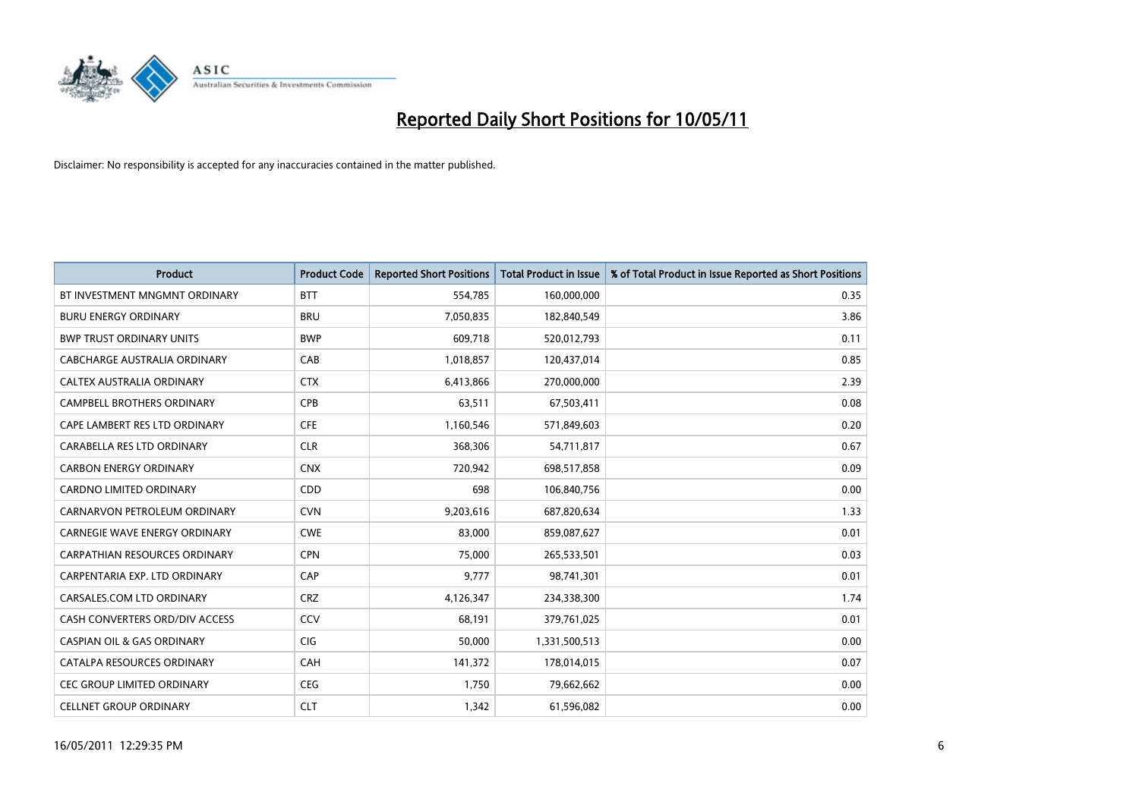

| <b>Product</b>                        | <b>Product Code</b> | <b>Reported Short Positions</b> | Total Product in Issue | % of Total Product in Issue Reported as Short Positions |
|---------------------------------------|---------------------|---------------------------------|------------------------|---------------------------------------------------------|
| BT INVESTMENT MNGMNT ORDINARY         | <b>BTT</b>          | 554,785                         | 160,000,000            | 0.35                                                    |
| <b>BURU ENERGY ORDINARY</b>           | <b>BRU</b>          | 7,050,835                       | 182,840,549            | 3.86                                                    |
| <b>BWP TRUST ORDINARY UNITS</b>       | <b>BWP</b>          | 609,718                         | 520,012,793            | 0.11                                                    |
| CABCHARGE AUSTRALIA ORDINARY          | CAB                 | 1,018,857                       | 120,437,014            | 0.85                                                    |
| CALTEX AUSTRALIA ORDINARY             | <b>CTX</b>          | 6,413,866                       | 270,000,000            | 2.39                                                    |
| <b>CAMPBELL BROTHERS ORDINARY</b>     | CPB                 | 63,511                          | 67,503,411             | 0.08                                                    |
| CAPE LAMBERT RES LTD ORDINARY         | <b>CFE</b>          | 1,160,546                       | 571,849,603            | 0.20                                                    |
| CARABELLA RES LTD ORDINARY            | <b>CLR</b>          | 368,306                         | 54,711,817             | 0.67                                                    |
| <b>CARBON ENERGY ORDINARY</b>         | <b>CNX</b>          | 720,942                         | 698,517,858            | 0.09                                                    |
| <b>CARDNO LIMITED ORDINARY</b>        | CDD                 | 698                             | 106,840,756            | 0.00                                                    |
| CARNARVON PETROLEUM ORDINARY          | <b>CVN</b>          | 9,203,616                       | 687,820,634            | 1.33                                                    |
| <b>CARNEGIE WAVE ENERGY ORDINARY</b>  | <b>CWE</b>          | 83,000                          | 859,087,627            | 0.01                                                    |
| <b>CARPATHIAN RESOURCES ORDINARY</b>  | <b>CPN</b>          | 75,000                          | 265,533,501            | 0.03                                                    |
| CARPENTARIA EXP. LTD ORDINARY         | CAP                 | 9,777                           | 98,741,301             | 0.01                                                    |
| CARSALES.COM LTD ORDINARY             | <b>CRZ</b>          | 4,126,347                       | 234,338,300            | 1.74                                                    |
| CASH CONVERTERS ORD/DIV ACCESS        | CCV                 | 68,191                          | 379,761,025            | 0.01                                                    |
| <b>CASPIAN OIL &amp; GAS ORDINARY</b> | <b>CIG</b>          | 50,000                          | 1,331,500,513          | 0.00                                                    |
| CATALPA RESOURCES ORDINARY            | <b>CAH</b>          | 141,372                         | 178,014,015            | 0.07                                                    |
| <b>CEC GROUP LIMITED ORDINARY</b>     | <b>CEG</b>          | 1,750                           | 79,662,662             | 0.00                                                    |
| <b>CELLNET GROUP ORDINARY</b>         | <b>CLT</b>          | 1,342                           | 61,596,082             | 0.00                                                    |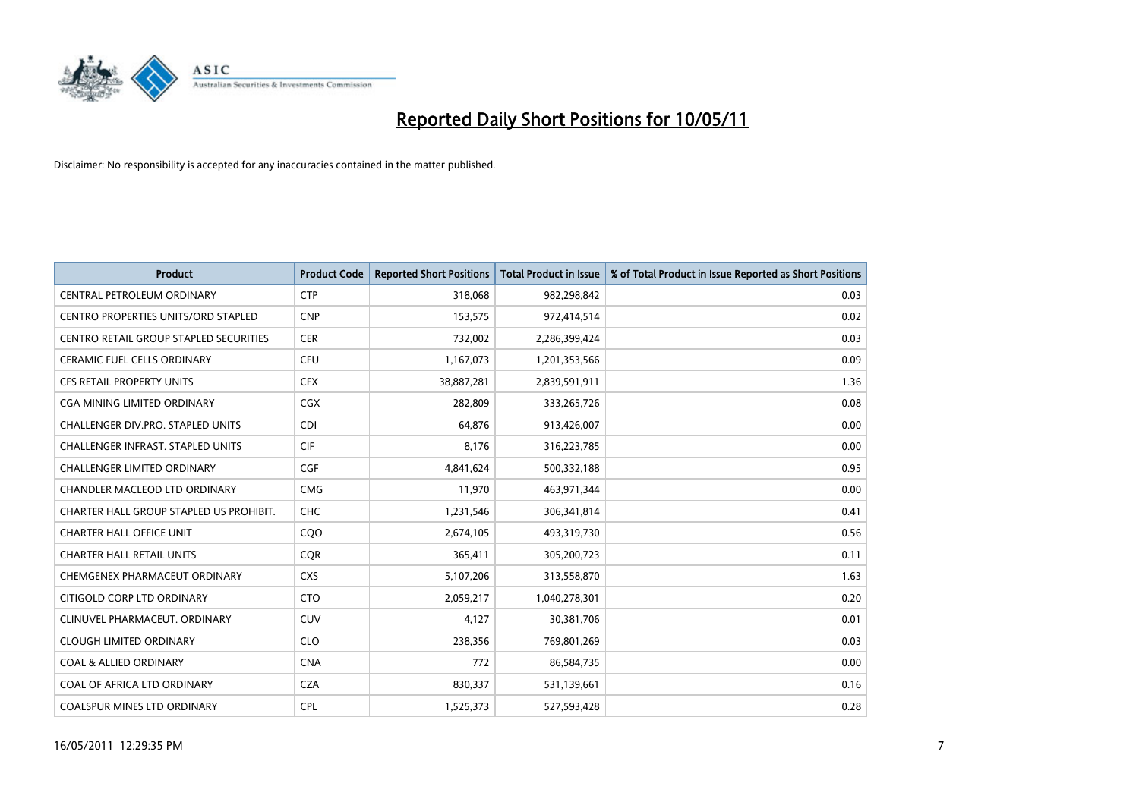

| <b>Product</b>                                | <b>Product Code</b> | <b>Reported Short Positions</b> | <b>Total Product in Issue</b> | % of Total Product in Issue Reported as Short Positions |
|-----------------------------------------------|---------------------|---------------------------------|-------------------------------|---------------------------------------------------------|
| CENTRAL PETROLEUM ORDINARY                    | <b>CTP</b>          | 318,068                         | 982,298,842                   | 0.03                                                    |
| <b>CENTRO PROPERTIES UNITS/ORD STAPLED</b>    | <b>CNP</b>          | 153,575                         | 972,414,514                   | 0.02                                                    |
| <b>CENTRO RETAIL GROUP STAPLED SECURITIES</b> | <b>CER</b>          | 732,002                         | 2,286,399,424                 | 0.03                                                    |
| CERAMIC FUEL CELLS ORDINARY                   | CFU                 | 1,167,073                       | 1,201,353,566                 | 0.09                                                    |
| <b>CFS RETAIL PROPERTY UNITS</b>              | <b>CFX</b>          | 38,887,281                      | 2,839,591,911                 | 1.36                                                    |
| CGA MINING LIMITED ORDINARY                   | <b>CGX</b>          | 282,809                         | 333,265,726                   | 0.08                                                    |
| <b>CHALLENGER DIV.PRO. STAPLED UNITS</b>      | <b>CDI</b>          | 64.876                          | 913,426,007                   | 0.00                                                    |
| CHALLENGER INFRAST. STAPLED UNITS             | <b>CIF</b>          | 8,176                           | 316,223,785                   | 0.00                                                    |
| <b>CHALLENGER LIMITED ORDINARY</b>            | CGF                 | 4,841,624                       | 500,332,188                   | 0.95                                                    |
| CHANDLER MACLEOD LTD ORDINARY                 | <b>CMG</b>          | 11,970                          | 463,971,344                   | 0.00                                                    |
| CHARTER HALL GROUP STAPLED US PROHIBIT.       | <b>CHC</b>          | 1,231,546                       | 306,341,814                   | 0.41                                                    |
| <b>CHARTER HALL OFFICE UNIT</b>               | CQO                 | 2,674,105                       | 493,319,730                   | 0.56                                                    |
| <b>CHARTER HALL RETAIL UNITS</b>              | <b>COR</b>          | 365,411                         | 305,200,723                   | 0.11                                                    |
| CHEMGENEX PHARMACEUT ORDINARY                 | <b>CXS</b>          | 5,107,206                       | 313,558,870                   | 1.63                                                    |
| CITIGOLD CORP LTD ORDINARY                    | <b>CTO</b>          | 2,059,217                       | 1,040,278,301                 | 0.20                                                    |
| CLINUVEL PHARMACEUT. ORDINARY                 | CUV                 | 4,127                           | 30,381,706                    | 0.01                                                    |
| <b>CLOUGH LIMITED ORDINARY</b>                | <b>CLO</b>          | 238,356                         | 769,801,269                   | 0.03                                                    |
| <b>COAL &amp; ALLIED ORDINARY</b>             | <b>CNA</b>          | 772                             | 86,584,735                    | 0.00                                                    |
| COAL OF AFRICA LTD ORDINARY                   | <b>CZA</b>          | 830,337                         | 531,139,661                   | 0.16                                                    |
| <b>COALSPUR MINES LTD ORDINARY</b>            | <b>CPL</b>          | 1,525,373                       | 527,593,428                   | 0.28                                                    |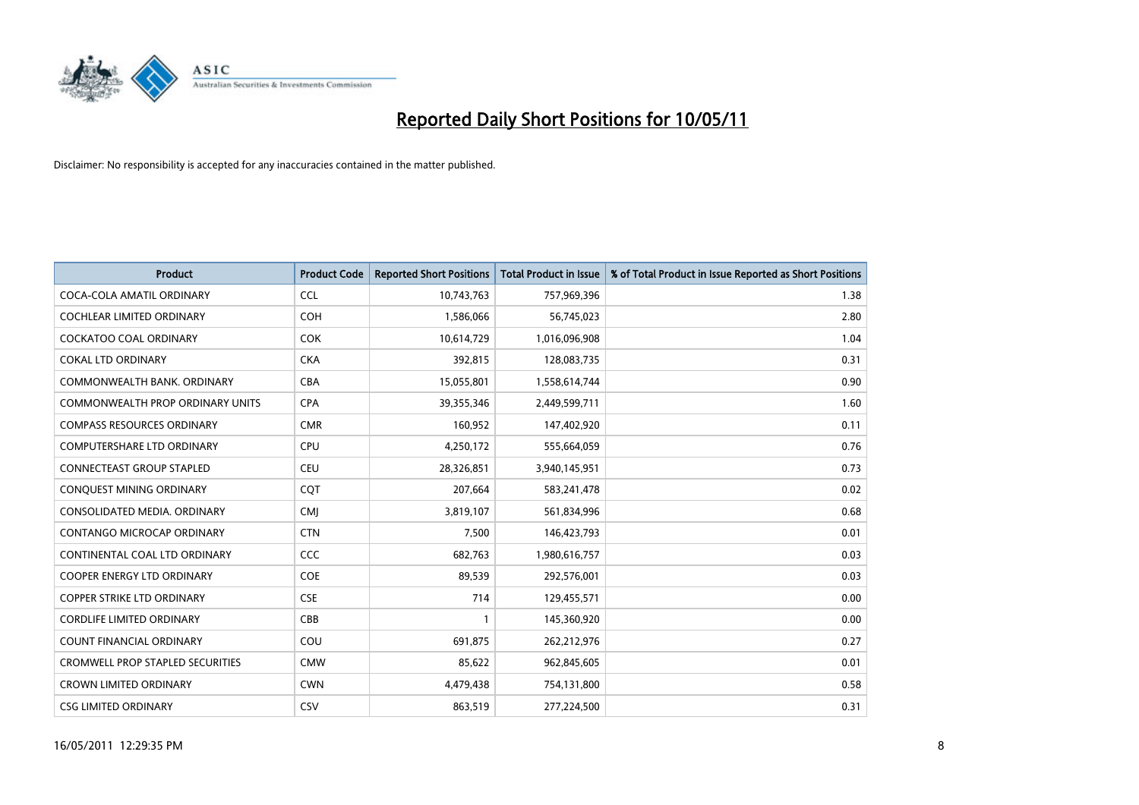

| <b>Product</b>                          | <b>Product Code</b> | <b>Reported Short Positions</b> | <b>Total Product in Issue</b> | % of Total Product in Issue Reported as Short Positions |
|-----------------------------------------|---------------------|---------------------------------|-------------------------------|---------------------------------------------------------|
| COCA-COLA AMATIL ORDINARY               | <b>CCL</b>          | 10,743,763                      | 757,969,396                   | 1.38                                                    |
| COCHLEAR LIMITED ORDINARY               | <b>COH</b>          | 1,586,066                       | 56,745,023                    | 2.80                                                    |
| <b>COCKATOO COAL ORDINARY</b>           | <b>COK</b>          | 10,614,729                      | 1,016,096,908                 | 1.04                                                    |
| <b>COKAL LTD ORDINARY</b>               | <b>CKA</b>          | 392,815                         | 128,083,735                   | 0.31                                                    |
| COMMONWEALTH BANK, ORDINARY             | <b>CBA</b>          | 15,055,801                      | 1,558,614,744                 | 0.90                                                    |
| <b>COMMONWEALTH PROP ORDINARY UNITS</b> | <b>CPA</b>          | 39,355,346                      | 2,449,599,711                 | 1.60                                                    |
| <b>COMPASS RESOURCES ORDINARY</b>       | <b>CMR</b>          | 160,952                         | 147,402,920                   | 0.11                                                    |
| <b>COMPUTERSHARE LTD ORDINARY</b>       | CPU                 | 4,250,172                       | 555,664,059                   | 0.76                                                    |
| CONNECTEAST GROUP STAPLED               | CEU                 | 28,326,851                      | 3,940,145,951                 | 0.73                                                    |
| CONQUEST MINING ORDINARY                | COT                 | 207,664                         | 583,241,478                   | 0.02                                                    |
| CONSOLIDATED MEDIA, ORDINARY            | <b>CMJ</b>          | 3,819,107                       | 561,834,996                   | 0.68                                                    |
| <b>CONTANGO MICROCAP ORDINARY</b>       | <b>CTN</b>          | 7,500                           | 146,423,793                   | 0.01                                                    |
| CONTINENTAL COAL LTD ORDINARY           | CCC                 | 682,763                         | 1,980,616,757                 | 0.03                                                    |
| <b>COOPER ENERGY LTD ORDINARY</b>       | <b>COE</b>          | 89,539                          | 292,576,001                   | 0.03                                                    |
| <b>COPPER STRIKE LTD ORDINARY</b>       | <b>CSE</b>          | 714                             | 129,455,571                   | 0.00                                                    |
| <b>CORDLIFE LIMITED ORDINARY</b>        | CBB                 |                                 | 145,360,920                   | 0.00                                                    |
| <b>COUNT FINANCIAL ORDINARY</b>         | COU                 | 691,875                         | 262,212,976                   | 0.27                                                    |
| <b>CROMWELL PROP STAPLED SECURITIES</b> | <b>CMW</b>          | 85,622                          | 962,845,605                   | 0.01                                                    |
| <b>CROWN LIMITED ORDINARY</b>           | <b>CWN</b>          | 4,479,438                       | 754,131,800                   | 0.58                                                    |
| <b>CSG LIMITED ORDINARY</b>             | CSV                 | 863,519                         | 277,224,500                   | 0.31                                                    |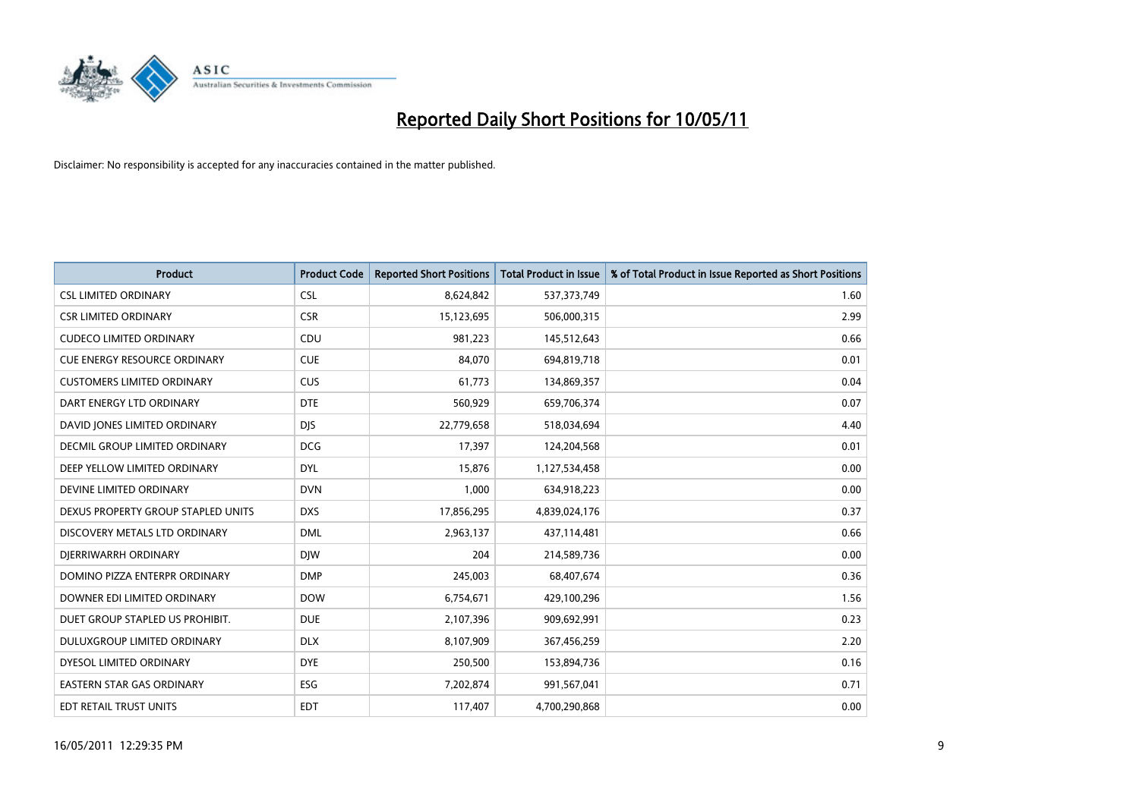

| <b>Product</b>                      | <b>Product Code</b> | <b>Reported Short Positions</b> | Total Product in Issue | % of Total Product in Issue Reported as Short Positions |
|-------------------------------------|---------------------|---------------------------------|------------------------|---------------------------------------------------------|
| <b>CSL LIMITED ORDINARY</b>         | <b>CSL</b>          | 8,624,842                       | 537,373,749            | 1.60                                                    |
| <b>CSR LIMITED ORDINARY</b>         | <b>CSR</b>          | 15,123,695                      | 506,000,315            | 2.99                                                    |
| <b>CUDECO LIMITED ORDINARY</b>      | CDU                 | 981,223                         | 145,512,643            | 0.66                                                    |
| <b>CUE ENERGY RESOURCE ORDINARY</b> | <b>CUE</b>          | 84,070                          | 694,819,718            | 0.01                                                    |
| <b>CUSTOMERS LIMITED ORDINARY</b>   | CUS                 | 61,773                          | 134,869,357            | 0.04                                                    |
| DART ENERGY LTD ORDINARY            | <b>DTE</b>          | 560,929                         | 659,706,374            | 0.07                                                    |
| DAVID JONES LIMITED ORDINARY        | <b>DJS</b>          | 22,779,658                      | 518,034,694            | 4.40                                                    |
| DECMIL GROUP LIMITED ORDINARY       | <b>DCG</b>          | 17,397                          | 124,204,568            | 0.01                                                    |
| DEEP YELLOW LIMITED ORDINARY        | <b>DYL</b>          | 15,876                          | 1,127,534,458          | 0.00                                                    |
| DEVINE LIMITED ORDINARY             | <b>DVN</b>          | 1,000                           | 634,918,223            | 0.00                                                    |
| DEXUS PROPERTY GROUP STAPLED UNITS  | <b>DXS</b>          | 17,856,295                      | 4,839,024,176          | 0.37                                                    |
| DISCOVERY METALS LTD ORDINARY       | <b>DML</b>          | 2,963,137                       | 437,114,481            | 0.66                                                    |
| DIERRIWARRH ORDINARY                | <b>DIW</b>          | 204                             | 214,589,736            | 0.00                                                    |
| DOMINO PIZZA ENTERPR ORDINARY       | <b>DMP</b>          | 245,003                         | 68,407,674             | 0.36                                                    |
| DOWNER EDI LIMITED ORDINARY         | <b>DOW</b>          | 6,754,671                       | 429,100,296            | 1.56                                                    |
| DUET GROUP STAPLED US PROHIBIT.     | <b>DUE</b>          | 2,107,396                       | 909,692,991            | 0.23                                                    |
| DULUXGROUP LIMITED ORDINARY         | <b>DLX</b>          | 8,107,909                       | 367,456,259            | 2.20                                                    |
| DYESOL LIMITED ORDINARY             | <b>DYE</b>          | 250,500                         | 153,894,736            | 0.16                                                    |
| <b>EASTERN STAR GAS ORDINARY</b>    | ESG                 | 7,202,874                       | 991,567,041            | 0.71                                                    |
| EDT RETAIL TRUST UNITS              | <b>EDT</b>          | 117,407                         | 4,700,290,868          | 0.00                                                    |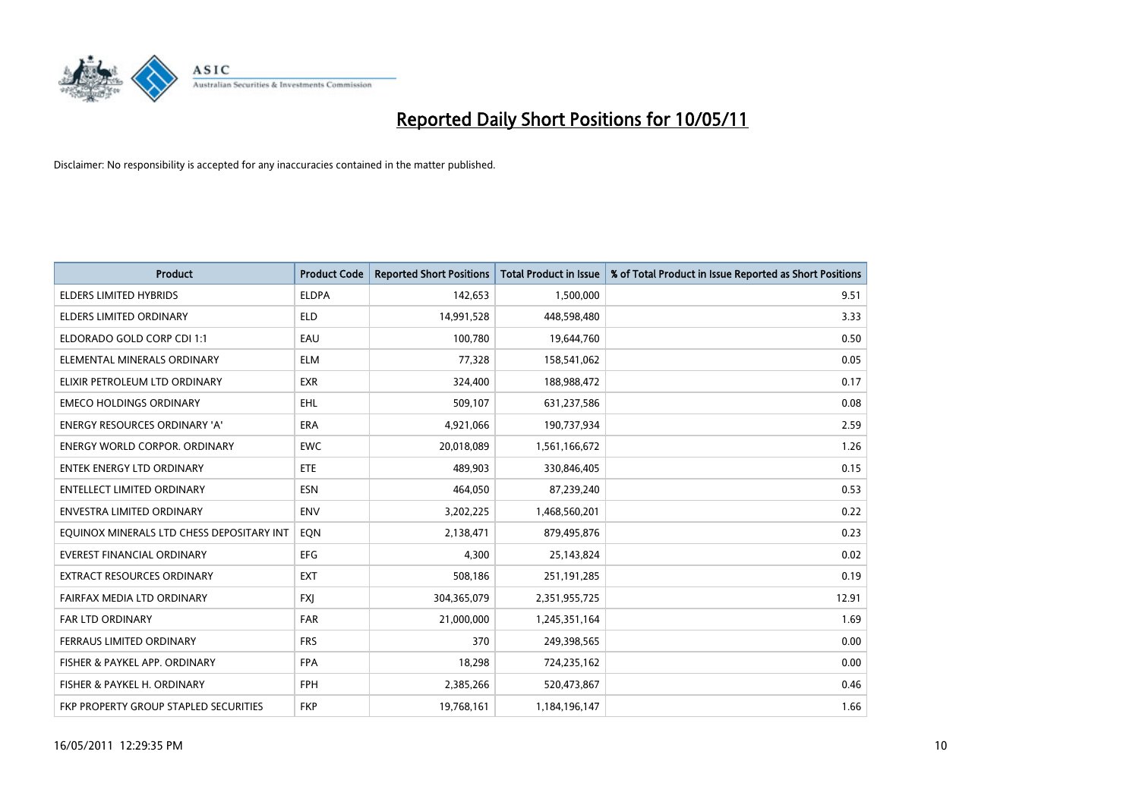

| <b>Product</b>                            | <b>Product Code</b> | <b>Reported Short Positions</b> | <b>Total Product in Issue</b> | % of Total Product in Issue Reported as Short Positions |
|-------------------------------------------|---------------------|---------------------------------|-------------------------------|---------------------------------------------------------|
| <b>ELDERS LIMITED HYBRIDS</b>             | <b>ELDPA</b>        | 142,653                         | 1,500,000                     | 9.51                                                    |
| ELDERS LIMITED ORDINARY                   | <b>ELD</b>          | 14,991,528                      | 448,598,480                   | 3.33                                                    |
| ELDORADO GOLD CORP CDI 1:1                | EAU                 | 100,780                         | 19,644,760                    | 0.50                                                    |
| ELEMENTAL MINERALS ORDINARY               | <b>ELM</b>          | 77,328                          | 158,541,062                   | 0.05                                                    |
| ELIXIR PETROLEUM LTD ORDINARY             | <b>EXR</b>          | 324,400                         | 188,988,472                   | 0.17                                                    |
| <b>EMECO HOLDINGS ORDINARY</b>            | <b>EHL</b>          | 509,107                         | 631,237,586                   | 0.08                                                    |
| <b>ENERGY RESOURCES ORDINARY 'A'</b>      | <b>ERA</b>          | 4,921,066                       | 190,737,934                   | 2.59                                                    |
| ENERGY WORLD CORPOR. ORDINARY             | <b>EWC</b>          | 20,018,089                      | 1,561,166,672                 | 1.26                                                    |
| <b>ENTEK ENERGY LTD ORDINARY</b>          | <b>ETE</b>          | 489.903                         | 330,846,405                   | 0.15                                                    |
| ENTELLECT LIMITED ORDINARY                | <b>ESN</b>          | 464,050                         | 87,239,240                    | 0.53                                                    |
| <b>ENVESTRA LIMITED ORDINARY</b>          | <b>ENV</b>          | 3,202,225                       | 1,468,560,201                 | 0.22                                                    |
| EQUINOX MINERALS LTD CHESS DEPOSITARY INT | EQN                 | 2,138,471                       | 879,495,876                   | 0.23                                                    |
| <b>EVEREST FINANCIAL ORDINARY</b>         | <b>EFG</b>          | 4,300                           | 25,143,824                    | 0.02                                                    |
| <b>EXTRACT RESOURCES ORDINARY</b>         | <b>EXT</b>          | 508,186                         | 251,191,285                   | 0.19                                                    |
| FAIRFAX MEDIA LTD ORDINARY                | <b>FXI</b>          | 304,365,079                     | 2,351,955,725                 | 12.91                                                   |
| <b>FAR LTD ORDINARY</b>                   | <b>FAR</b>          | 21,000,000                      | 1,245,351,164                 | 1.69                                                    |
| FERRAUS LIMITED ORDINARY                  | <b>FRS</b>          | 370                             | 249,398,565                   | 0.00                                                    |
| FISHER & PAYKEL APP. ORDINARY             | <b>FPA</b>          | 18,298                          | 724,235,162                   | 0.00                                                    |
| FISHER & PAYKEL H. ORDINARY               | <b>FPH</b>          | 2,385,266                       | 520,473,867                   | 0.46                                                    |
| FKP PROPERTY GROUP STAPLED SECURITIES     | <b>FKP</b>          | 19,768,161                      | 1,184,196,147                 | 1.66                                                    |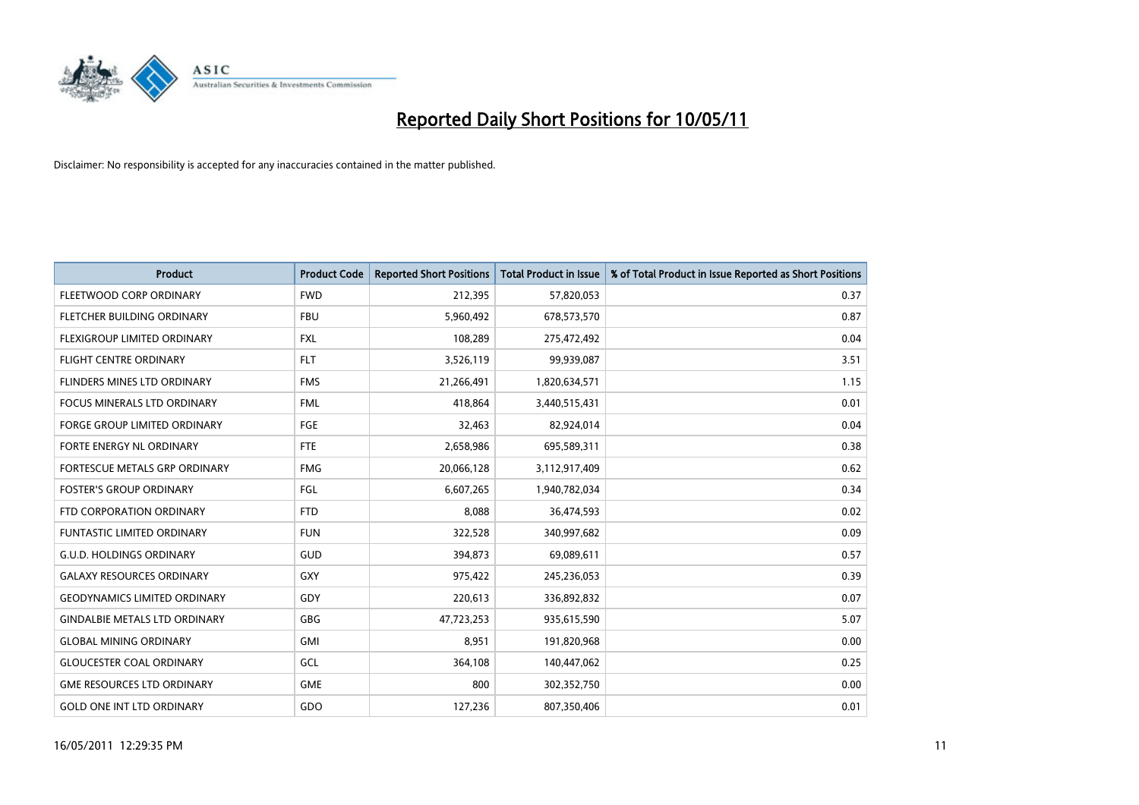

| <b>Product</b>                       | <b>Product Code</b> | <b>Reported Short Positions</b> | <b>Total Product in Issue</b> | % of Total Product in Issue Reported as Short Positions |
|--------------------------------------|---------------------|---------------------------------|-------------------------------|---------------------------------------------------------|
| FLEETWOOD CORP ORDINARY              | <b>FWD</b>          | 212,395                         | 57,820,053                    | 0.37                                                    |
| <b>FLETCHER BUILDING ORDINARY</b>    | <b>FBU</b>          | 5,960,492                       | 678,573,570                   | 0.87                                                    |
| FLEXIGROUP LIMITED ORDINARY          | <b>FXL</b>          | 108,289                         | 275,472,492                   | 0.04                                                    |
| <b>FLIGHT CENTRE ORDINARY</b>        | <b>FLT</b>          | 3,526,119                       | 99,939,087                    | 3.51                                                    |
| FLINDERS MINES LTD ORDINARY          | <b>FMS</b>          | 21,266,491                      | 1,820,634,571                 | 1.15                                                    |
| <b>FOCUS MINERALS LTD ORDINARY</b>   | <b>FML</b>          | 418,864                         | 3,440,515,431                 | 0.01                                                    |
| <b>FORGE GROUP LIMITED ORDINARY</b>  | <b>FGE</b>          | 32,463                          | 82,924,014                    | 0.04                                                    |
| FORTE ENERGY NL ORDINARY             | <b>FTE</b>          | 2,658,986                       | 695,589,311                   | 0.38                                                    |
| FORTESCUE METALS GRP ORDINARY        | <b>FMG</b>          | 20,066,128                      | 3,112,917,409                 | 0.62                                                    |
| <b>FOSTER'S GROUP ORDINARY</b>       | <b>FGL</b>          | 6,607,265                       | 1,940,782,034                 | 0.34                                                    |
| FTD CORPORATION ORDINARY             | <b>FTD</b>          | 8,088                           | 36,474,593                    | 0.02                                                    |
| <b>FUNTASTIC LIMITED ORDINARY</b>    | <b>FUN</b>          | 322,528                         | 340,997,682                   | 0.09                                                    |
| <b>G.U.D. HOLDINGS ORDINARY</b>      | GUD                 | 394,873                         | 69,089,611                    | 0.57                                                    |
| <b>GALAXY RESOURCES ORDINARY</b>     | <b>GXY</b>          | 975,422                         | 245,236,053                   | 0.39                                                    |
| <b>GEODYNAMICS LIMITED ORDINARY</b>  | GDY                 | 220,613                         | 336,892,832                   | 0.07                                                    |
| <b>GINDALBIE METALS LTD ORDINARY</b> | <b>GBG</b>          | 47,723,253                      | 935,615,590                   | 5.07                                                    |
| <b>GLOBAL MINING ORDINARY</b>        | <b>GMI</b>          | 8,951                           | 191,820,968                   | 0.00                                                    |
| <b>GLOUCESTER COAL ORDINARY</b>      | GCL                 | 364,108                         | 140,447,062                   | 0.25                                                    |
| <b>GME RESOURCES LTD ORDINARY</b>    | <b>GME</b>          | 800                             | 302,352,750                   | 0.00                                                    |
| <b>GOLD ONE INT LTD ORDINARY</b>     | GDO                 | 127,236                         | 807,350,406                   | 0.01                                                    |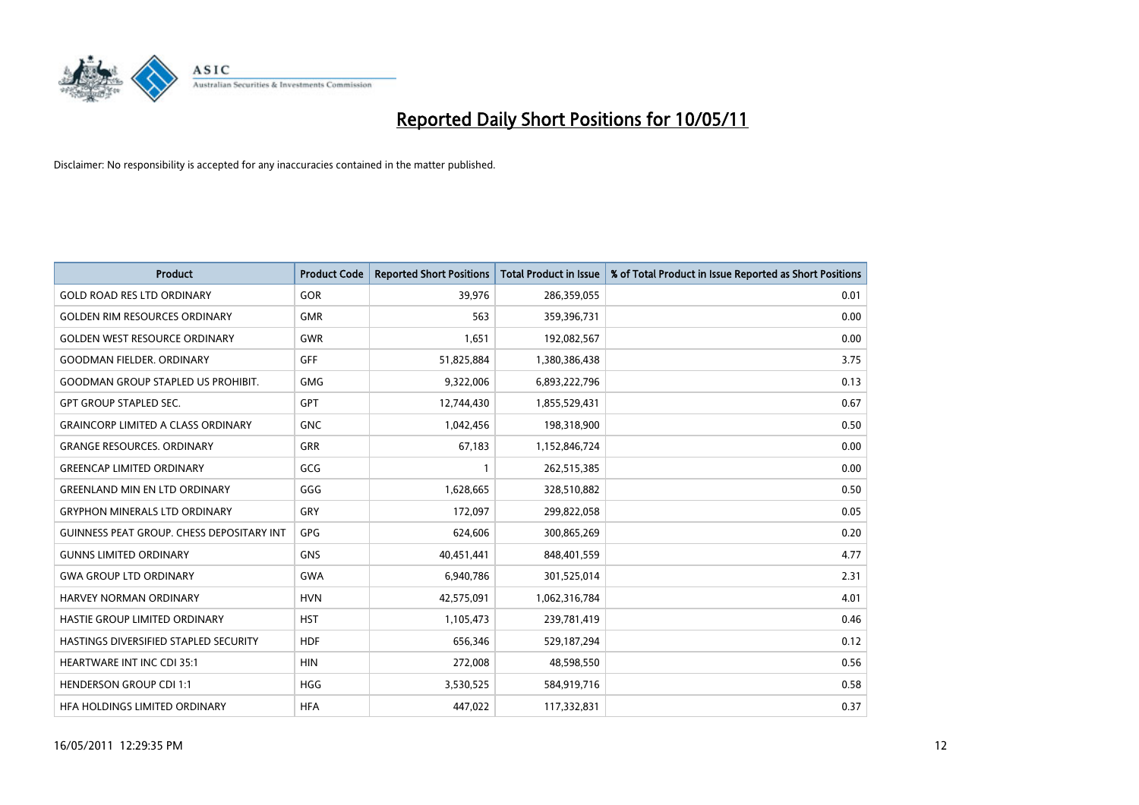

| <b>Product</b>                                   | <b>Product Code</b> | <b>Reported Short Positions</b> | <b>Total Product in Issue</b> | % of Total Product in Issue Reported as Short Positions |
|--------------------------------------------------|---------------------|---------------------------------|-------------------------------|---------------------------------------------------------|
| <b>GOLD ROAD RES LTD ORDINARY</b>                | GOR                 | 39,976                          | 286,359,055                   | 0.01                                                    |
| <b>GOLDEN RIM RESOURCES ORDINARY</b>             | <b>GMR</b>          | 563                             | 359,396,731                   | 0.00                                                    |
| <b>GOLDEN WEST RESOURCE ORDINARY</b>             | <b>GWR</b>          | 1.651                           | 192,082,567                   | 0.00                                                    |
| <b>GOODMAN FIELDER, ORDINARY</b>                 | <b>GFF</b>          | 51,825,884                      | 1,380,386,438                 | 3.75                                                    |
| <b>GOODMAN GROUP STAPLED US PROHIBIT.</b>        | <b>GMG</b>          | 9,322,006                       | 6,893,222,796                 | 0.13                                                    |
| <b>GPT GROUP STAPLED SEC.</b>                    | GPT                 | 12,744,430                      | 1,855,529,431                 | 0.67                                                    |
| <b>GRAINCORP LIMITED A CLASS ORDINARY</b>        | <b>GNC</b>          | 1,042,456                       | 198,318,900                   | 0.50                                                    |
| <b>GRANGE RESOURCES, ORDINARY</b>                | GRR                 | 67,183                          | 1,152,846,724                 | 0.00                                                    |
| <b>GREENCAP LIMITED ORDINARY</b>                 | GCG                 |                                 | 262,515,385                   | 0.00                                                    |
| <b>GREENLAND MIN EN LTD ORDINARY</b>             | GGG                 | 1,628,665                       | 328,510,882                   | 0.50                                                    |
| <b>GRYPHON MINERALS LTD ORDINARY</b>             | GRY                 | 172,097                         | 299,822,058                   | 0.05                                                    |
| <b>GUINNESS PEAT GROUP. CHESS DEPOSITARY INT</b> | <b>GPG</b>          | 624,606                         | 300,865,269                   | 0.20                                                    |
| <b>GUNNS LIMITED ORDINARY</b>                    | <b>GNS</b>          | 40,451,441                      | 848,401,559                   | 4.77                                                    |
| <b>GWA GROUP LTD ORDINARY</b>                    | <b>GWA</b>          | 6,940,786                       | 301,525,014                   | 2.31                                                    |
| <b>HARVEY NORMAN ORDINARY</b>                    | <b>HVN</b>          | 42,575,091                      | 1,062,316,784                 | 4.01                                                    |
| HASTIE GROUP LIMITED ORDINARY                    | <b>HST</b>          | 1,105,473                       | 239,781,419                   | 0.46                                                    |
| HASTINGS DIVERSIFIED STAPLED SECURITY            | <b>HDF</b>          | 656,346                         | 529,187,294                   | 0.12                                                    |
| <b>HEARTWARE INT INC CDI 35:1</b>                | <b>HIN</b>          | 272,008                         | 48,598,550                    | 0.56                                                    |
| <b>HENDERSON GROUP CDI 1:1</b>                   | <b>HGG</b>          | 3,530,525                       | 584,919,716                   | 0.58                                                    |
| HEA HOLDINGS LIMITED ORDINARY                    | <b>HFA</b>          | 447.022                         | 117,332,831                   | 0.37                                                    |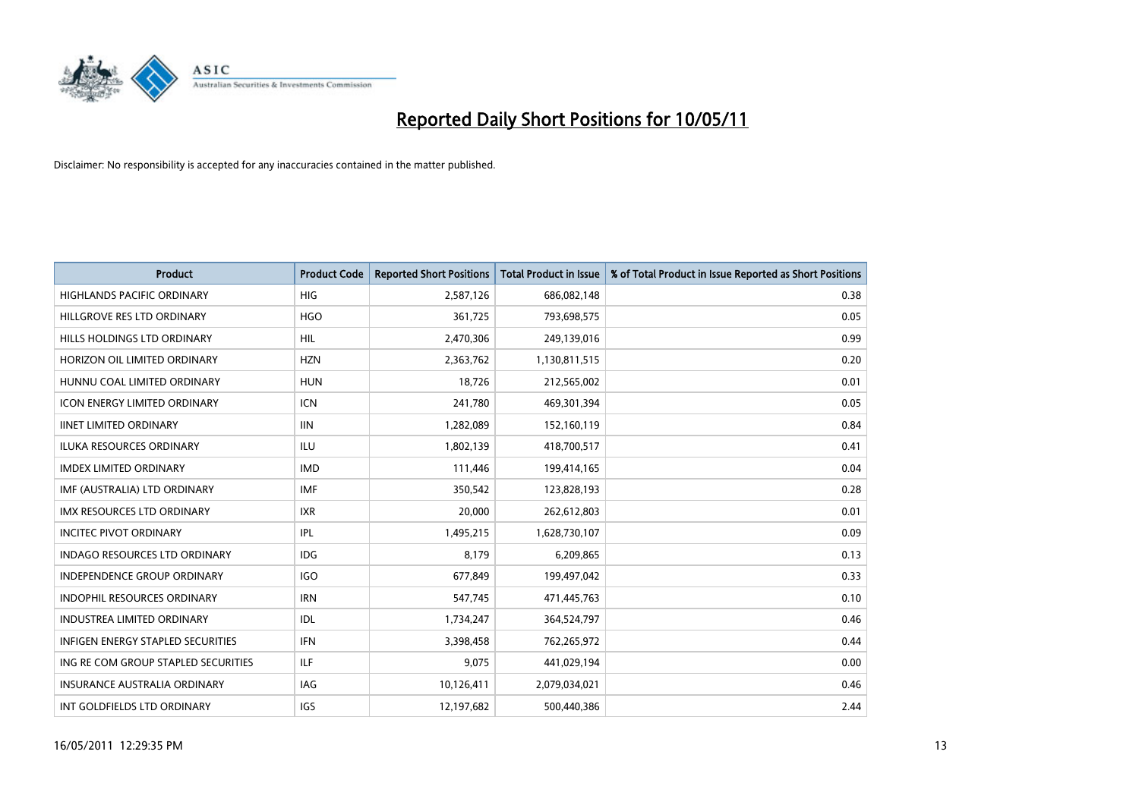

| <b>Product</b>                      | <b>Product Code</b> | <b>Reported Short Positions</b> | <b>Total Product in Issue</b> | % of Total Product in Issue Reported as Short Positions |
|-------------------------------------|---------------------|---------------------------------|-------------------------------|---------------------------------------------------------|
| <b>HIGHLANDS PACIFIC ORDINARY</b>   | <b>HIG</b>          | 2,587,126                       | 686,082,148                   | 0.38                                                    |
| HILLGROVE RES LTD ORDINARY          | <b>HGO</b>          | 361,725                         | 793,698,575                   | 0.05                                                    |
| HILLS HOLDINGS LTD ORDINARY         | <b>HIL</b>          | 2,470,306                       | 249,139,016                   | 0.99                                                    |
| HORIZON OIL LIMITED ORDINARY        | <b>HZN</b>          | 2,363,762                       | 1,130,811,515                 | 0.20                                                    |
| HUNNU COAL LIMITED ORDINARY         | <b>HUN</b>          | 18,726                          | 212,565,002                   | 0.01                                                    |
| <b>ICON ENERGY LIMITED ORDINARY</b> | <b>ICN</b>          | 241,780                         | 469,301,394                   | 0.05                                                    |
| <b>IINET LIMITED ORDINARY</b>       | <b>IIN</b>          | 1,282,089                       | 152,160,119                   | 0.84                                                    |
| ILUKA RESOURCES ORDINARY            | <b>ILU</b>          | 1,802,139                       | 418,700,517                   | 0.41                                                    |
| <b>IMDEX LIMITED ORDINARY</b>       | <b>IMD</b>          | 111,446                         | 199,414,165                   | 0.04                                                    |
| IMF (AUSTRALIA) LTD ORDINARY        | <b>IMF</b>          | 350,542                         | 123,828,193                   | 0.28                                                    |
| IMX RESOURCES LTD ORDINARY          | <b>IXR</b>          | 20,000                          | 262,612,803                   | 0.01                                                    |
| <b>INCITEC PIVOT ORDINARY</b>       | <b>IPL</b>          | 1,495,215                       | 1,628,730,107                 | 0.09                                                    |
| INDAGO RESOURCES LTD ORDINARY       | <b>IDG</b>          | 8,179                           | 6,209,865                     | 0.13                                                    |
| INDEPENDENCE GROUP ORDINARY         | <b>IGO</b>          | 677,849                         | 199,497,042                   | 0.33                                                    |
| <b>INDOPHIL RESOURCES ORDINARY</b>  | <b>IRN</b>          | 547,745                         | 471,445,763                   | 0.10                                                    |
| <b>INDUSTREA LIMITED ORDINARY</b>   | IDL                 | 1,734,247                       | 364,524,797                   | 0.46                                                    |
| INFIGEN ENERGY STAPLED SECURITIES   | <b>IFN</b>          | 3,398,458                       | 762,265,972                   | 0.44                                                    |
| ING RE COM GROUP STAPLED SECURITIES | <b>ILF</b>          | 9,075                           | 441,029,194                   | 0.00                                                    |
| INSURANCE AUSTRALIA ORDINARY        | IAG                 | 10,126,411                      | 2,079,034,021                 | 0.46                                                    |
| INT GOLDFIELDS LTD ORDINARY         | <b>IGS</b>          | 12,197,682                      | 500,440,386                   | 2.44                                                    |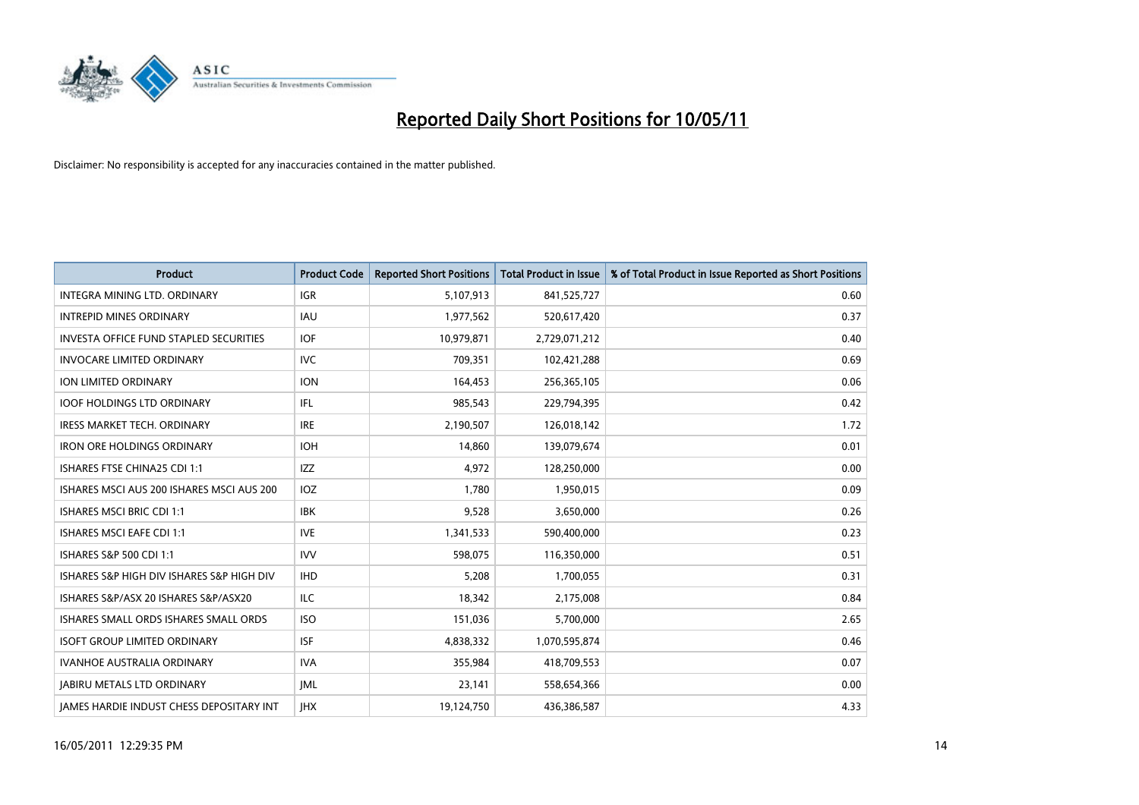

| <b>Product</b>                                  | <b>Product Code</b> | <b>Reported Short Positions</b> | Total Product in Issue | % of Total Product in Issue Reported as Short Positions |
|-------------------------------------------------|---------------------|---------------------------------|------------------------|---------------------------------------------------------|
| <b>INTEGRA MINING LTD, ORDINARY</b>             | <b>IGR</b>          | 5,107,913                       | 841,525,727            | 0.60                                                    |
| <b>INTREPID MINES ORDINARY</b>                  | <b>IAU</b>          | 1,977,562                       | 520,617,420            | 0.37                                                    |
| <b>INVESTA OFFICE FUND STAPLED SECURITIES</b>   | <b>IOF</b>          | 10,979,871                      | 2,729,071,212          | 0.40                                                    |
| <b>INVOCARE LIMITED ORDINARY</b>                | <b>IVC</b>          | 709,351                         | 102,421,288            | 0.69                                                    |
| <b>ION LIMITED ORDINARY</b>                     | <b>ION</b>          | 164,453                         | 256,365,105            | 0.06                                                    |
| <b>IOOF HOLDINGS LTD ORDINARY</b>               | <b>IFL</b>          | 985,543                         | 229,794,395            | 0.42                                                    |
| <b>IRESS MARKET TECH. ORDINARY</b>              | <b>IRE</b>          | 2,190,507                       | 126,018,142            | 1.72                                                    |
| <b>IRON ORE HOLDINGS ORDINARY</b>               | <b>IOH</b>          | 14,860                          | 139,079,674            | 0.01                                                    |
| ISHARES FTSE CHINA25 CDI 1:1                    | <b>IZZ</b>          | 4,972                           | 128,250,000            | 0.00                                                    |
| ISHARES MSCLAUS 200 ISHARES MSCLAUS 200         | IOZ                 | 1,780                           | 1,950,015              | 0.09                                                    |
| <b>ISHARES MSCI BRIC CDI 1:1</b>                | <b>IBK</b>          | 9,528                           | 3,650,000              | 0.26                                                    |
| <b>ISHARES MSCI EAFE CDI 1:1</b>                | <b>IVE</b>          | 1,341,533                       | 590,400,000            | 0.23                                                    |
| ISHARES S&P 500 CDI 1:1                         | <b>IVV</b>          | 598,075                         | 116,350,000            | 0.51                                                    |
| ISHARES S&P HIGH DIV ISHARES S&P HIGH DIV       | <b>IHD</b>          | 5,208                           | 1,700,055              | 0.31                                                    |
| ISHARES S&P/ASX 20 ISHARES S&P/ASX20            | <b>ILC</b>          | 18,342                          | 2,175,008              | 0.84                                                    |
| ISHARES SMALL ORDS ISHARES SMALL ORDS           | <b>ISO</b>          | 151,036                         | 5,700,000              | 2.65                                                    |
| <b>ISOFT GROUP LIMITED ORDINARY</b>             | <b>ISF</b>          | 4,838,332                       | 1,070,595,874          | 0.46                                                    |
| IVANHOE AUSTRALIA ORDINARY                      | <b>IVA</b>          | 355,984                         | 418,709,553            | 0.07                                                    |
| <b>JABIRU METALS LTD ORDINARY</b>               | <b>JML</b>          | 23,141                          | 558,654,366            | 0.00                                                    |
| <b>JAMES HARDIE INDUST CHESS DEPOSITARY INT</b> | <b>IHX</b>          | 19,124,750                      | 436,386,587            | 4.33                                                    |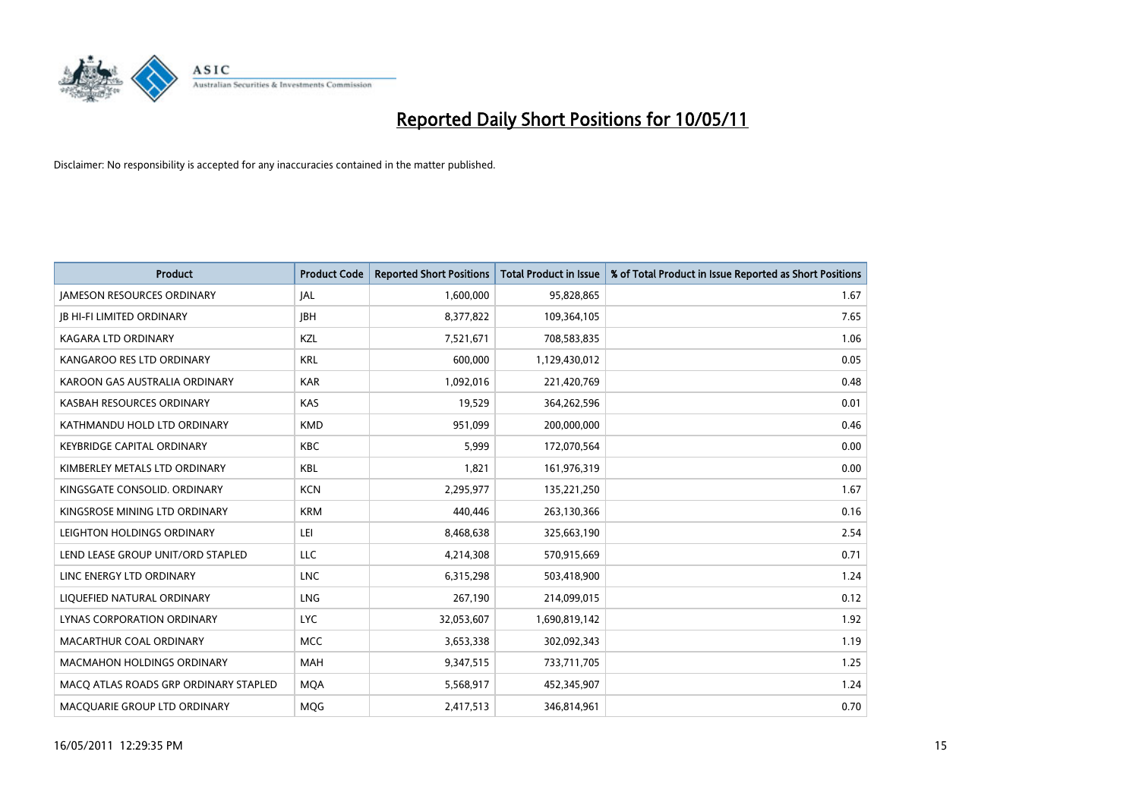

| <b>Product</b>                        | <b>Product Code</b> | <b>Reported Short Positions</b> | Total Product in Issue | % of Total Product in Issue Reported as Short Positions |
|---------------------------------------|---------------------|---------------------------------|------------------------|---------------------------------------------------------|
| <b>JAMESON RESOURCES ORDINARY</b>     | JAL                 | 1,600,000                       | 95,828,865             | 1.67                                                    |
| <b>JB HI-FI LIMITED ORDINARY</b>      | <b>JBH</b>          | 8,377,822                       | 109,364,105            | 7.65                                                    |
| KAGARA LTD ORDINARY                   | KZL                 | 7,521,671                       | 708,583,835            | 1.06                                                    |
| KANGAROO RES LTD ORDINARY             | <b>KRL</b>          | 600,000                         | 1,129,430,012          | 0.05                                                    |
| KAROON GAS AUSTRALIA ORDINARY         | <b>KAR</b>          | 1,092,016                       | 221,420,769            | 0.48                                                    |
| KASBAH RESOURCES ORDINARY             | <b>KAS</b>          | 19,529                          | 364,262,596            | 0.01                                                    |
| KATHMANDU HOLD LTD ORDINARY           | <b>KMD</b>          | 951.099                         | 200,000,000            | 0.46                                                    |
| <b>KEYBRIDGE CAPITAL ORDINARY</b>     | <b>KBC</b>          | 5,999                           | 172,070,564            | 0.00                                                    |
| KIMBERLEY METALS LTD ORDINARY         | KBL                 | 1,821                           | 161,976,319            | 0.00                                                    |
| KINGSGATE CONSOLID. ORDINARY          | <b>KCN</b>          | 2,295,977                       | 135,221,250            | 1.67                                                    |
| KINGSROSE MINING LTD ORDINARY         | <b>KRM</b>          | 440,446                         | 263,130,366            | 0.16                                                    |
| LEIGHTON HOLDINGS ORDINARY            | LEI                 | 8,468,638                       | 325,663,190            | 2.54                                                    |
| LEND LEASE GROUP UNIT/ORD STAPLED     | LLC                 | 4,214,308                       | 570,915,669            | 0.71                                                    |
| LINC ENERGY LTD ORDINARY              | <b>LNC</b>          | 6,315,298                       | 503,418,900            | 1.24                                                    |
| LIQUEFIED NATURAL ORDINARY            | <b>LNG</b>          | 267,190                         | 214,099,015            | 0.12                                                    |
| LYNAS CORPORATION ORDINARY            | <b>LYC</b>          | 32,053,607                      | 1,690,819,142          | 1.92                                                    |
| MACARTHUR COAL ORDINARY               | <b>MCC</b>          | 3,653,338                       | 302,092,343            | 1.19                                                    |
| <b>MACMAHON HOLDINGS ORDINARY</b>     | <b>MAH</b>          | 9,347,515                       | 733,711,705            | 1.25                                                    |
| MACO ATLAS ROADS GRP ORDINARY STAPLED | <b>MOA</b>          | 5,568,917                       | 452,345,907            | 1.24                                                    |
| MACQUARIE GROUP LTD ORDINARY          | <b>MOG</b>          | 2,417,513                       | 346,814,961            | 0.70                                                    |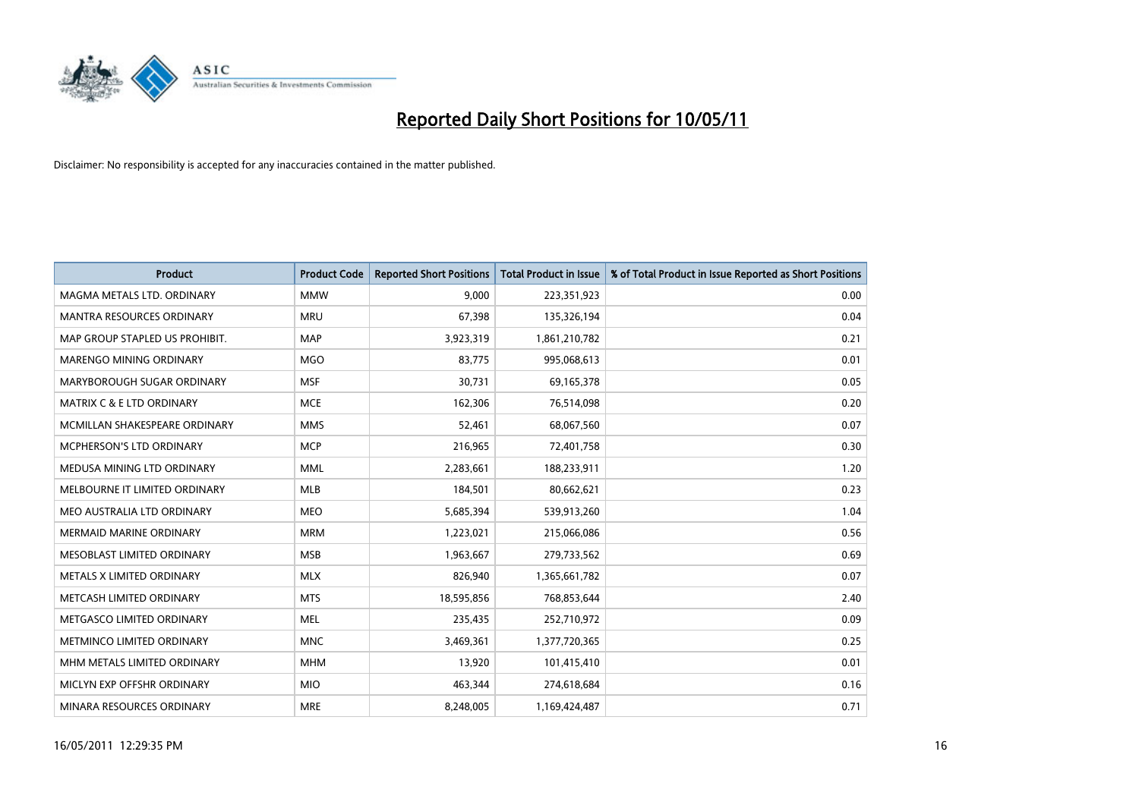

| <b>Product</b>                       | <b>Product Code</b> | <b>Reported Short Positions</b> | <b>Total Product in Issue</b> | % of Total Product in Issue Reported as Short Positions |
|--------------------------------------|---------------------|---------------------------------|-------------------------------|---------------------------------------------------------|
| MAGMA METALS LTD. ORDINARY           | <b>MMW</b>          | 9,000                           | 223,351,923                   | 0.00                                                    |
| MANTRA RESOURCES ORDINARY            | <b>MRU</b>          | 67,398                          | 135,326,194                   | 0.04                                                    |
| MAP GROUP STAPLED US PROHIBIT.       | <b>MAP</b>          | 3,923,319                       | 1,861,210,782                 | 0.21                                                    |
| MARENGO MINING ORDINARY              | <b>MGO</b>          | 83,775                          | 995,068,613                   | 0.01                                                    |
| MARYBOROUGH SUGAR ORDINARY           | <b>MSF</b>          | 30,731                          | 69,165,378                    | 0.05                                                    |
| <b>MATRIX C &amp; E LTD ORDINARY</b> | <b>MCE</b>          | 162,306                         | 76,514,098                    | 0.20                                                    |
| MCMILLAN SHAKESPEARE ORDINARY        | <b>MMS</b>          | 52,461                          | 68,067,560                    | 0.07                                                    |
| MCPHERSON'S LTD ORDINARY             | <b>MCP</b>          | 216,965                         | 72,401,758                    | 0.30                                                    |
| MEDUSA MINING LTD ORDINARY           | <b>MML</b>          | 2,283,661                       | 188,233,911                   | 1.20                                                    |
| MELBOURNE IT LIMITED ORDINARY        | MLB                 | 184,501                         | 80,662,621                    | 0.23                                                    |
| MEO AUSTRALIA LTD ORDINARY           | <b>MEO</b>          | 5,685,394                       | 539,913,260                   | 1.04                                                    |
| <b>MERMAID MARINE ORDINARY</b>       | <b>MRM</b>          | 1,223,021                       | 215,066,086                   | 0.56                                                    |
| MESOBLAST LIMITED ORDINARY           | <b>MSB</b>          | 1,963,667                       | 279,733,562                   | 0.69                                                    |
| METALS X LIMITED ORDINARY            | <b>MLX</b>          | 826,940                         | 1,365,661,782                 | 0.07                                                    |
| METCASH LIMITED ORDINARY             | <b>MTS</b>          | 18,595,856                      | 768,853,644                   | 2.40                                                    |
| METGASCO LIMITED ORDINARY            | <b>MEL</b>          | 235,435                         | 252,710,972                   | 0.09                                                    |
| METMINCO LIMITED ORDINARY            | <b>MNC</b>          | 3,469,361                       | 1,377,720,365                 | 0.25                                                    |
| MHM METALS LIMITED ORDINARY          | <b>MHM</b>          | 13,920                          | 101,415,410                   | 0.01                                                    |
| MICLYN EXP OFFSHR ORDINARY           | <b>MIO</b>          | 463,344                         | 274,618,684                   | 0.16                                                    |
| MINARA RESOURCES ORDINARY            | <b>MRE</b>          | 8,248,005                       | 1,169,424,487                 | 0.71                                                    |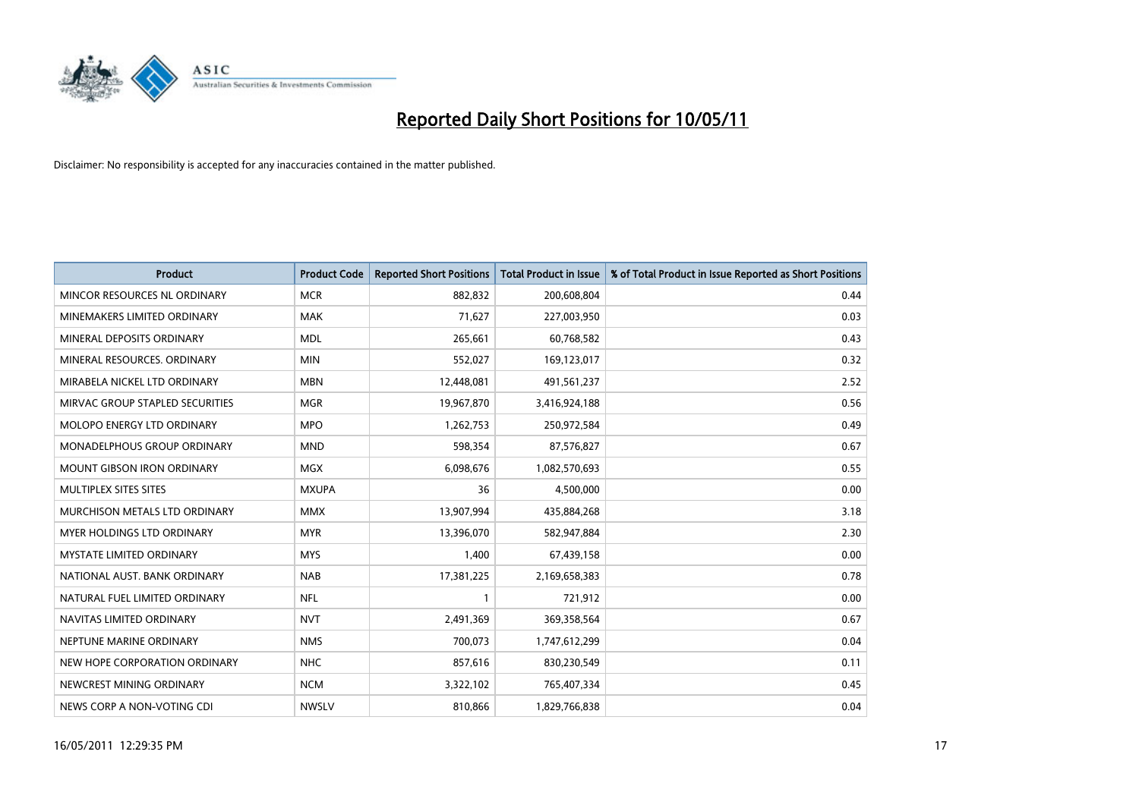

| <b>Product</b>                    | <b>Product Code</b> | <b>Reported Short Positions</b> | <b>Total Product in Issue</b> | % of Total Product in Issue Reported as Short Positions |
|-----------------------------------|---------------------|---------------------------------|-------------------------------|---------------------------------------------------------|
| MINCOR RESOURCES NL ORDINARY      | <b>MCR</b>          | 882,832                         | 200,608,804                   | 0.44                                                    |
| MINEMAKERS LIMITED ORDINARY       | <b>MAK</b>          | 71,627                          | 227,003,950                   | 0.03                                                    |
| MINERAL DEPOSITS ORDINARY         | <b>MDL</b>          | 265,661                         | 60,768,582                    | 0.43                                                    |
| MINERAL RESOURCES. ORDINARY       | <b>MIN</b>          | 552,027                         | 169,123,017                   | 0.32                                                    |
| MIRABELA NICKEL LTD ORDINARY      | <b>MBN</b>          | 12,448,081                      | 491,561,237                   | 2.52                                                    |
| MIRVAC GROUP STAPLED SECURITIES   | <b>MGR</b>          | 19,967,870                      | 3,416,924,188                 | 0.56                                                    |
| <b>MOLOPO ENERGY LTD ORDINARY</b> | <b>MPO</b>          | 1,262,753                       | 250,972,584                   | 0.49                                                    |
| MONADELPHOUS GROUP ORDINARY       | <b>MND</b>          | 598,354                         | 87,576,827                    | 0.67                                                    |
| <b>MOUNT GIBSON IRON ORDINARY</b> | <b>MGX</b>          | 6,098,676                       | 1,082,570,693                 | 0.55                                                    |
| MULTIPLEX SITES SITES             | <b>MXUPA</b>        | 36                              | 4,500,000                     | 0.00                                                    |
| MURCHISON METALS LTD ORDINARY     | <b>MMX</b>          | 13,907,994                      | 435,884,268                   | 3.18                                                    |
| <b>MYER HOLDINGS LTD ORDINARY</b> | <b>MYR</b>          | 13,396,070                      | 582,947,884                   | 2.30                                                    |
| MYSTATE LIMITED ORDINARY          | <b>MYS</b>          | 1,400                           | 67,439,158                    | 0.00                                                    |
| NATIONAL AUST. BANK ORDINARY      | <b>NAB</b>          | 17,381,225                      | 2,169,658,383                 | 0.78                                                    |
| NATURAL FUEL LIMITED ORDINARY     | <b>NFL</b>          |                                 | 721,912                       | 0.00                                                    |
| NAVITAS LIMITED ORDINARY          | <b>NVT</b>          | 2,491,369                       | 369,358,564                   | 0.67                                                    |
| NEPTUNE MARINE ORDINARY           | <b>NMS</b>          | 700,073                         | 1,747,612,299                 | 0.04                                                    |
| NEW HOPE CORPORATION ORDINARY     | <b>NHC</b>          | 857,616                         | 830,230,549                   | 0.11                                                    |
| NEWCREST MINING ORDINARY          | <b>NCM</b>          | 3,322,102                       | 765,407,334                   | 0.45                                                    |
| NEWS CORP A NON-VOTING CDI        | <b>NWSLV</b>        | 810,866                         | 1,829,766,838                 | 0.04                                                    |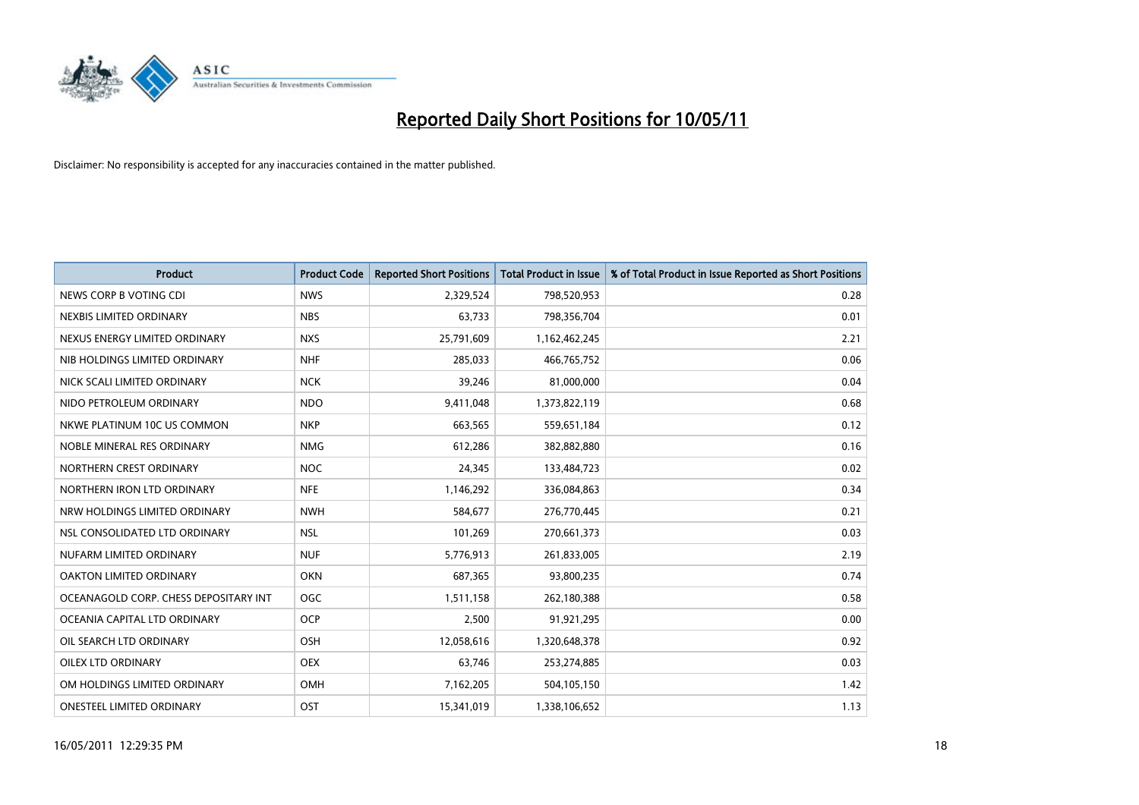

| <b>Product</b>                        | <b>Product Code</b> | <b>Reported Short Positions</b> | <b>Total Product in Issue</b> | % of Total Product in Issue Reported as Short Positions |
|---------------------------------------|---------------------|---------------------------------|-------------------------------|---------------------------------------------------------|
| NEWS CORP B VOTING CDI                | <b>NWS</b>          | 2,329,524                       | 798,520,953                   | 0.28                                                    |
| NEXBIS LIMITED ORDINARY               | <b>NBS</b>          | 63,733                          | 798,356,704                   | 0.01                                                    |
| NEXUS ENERGY LIMITED ORDINARY         | <b>NXS</b>          | 25,791,609                      | 1,162,462,245                 | 2.21                                                    |
| NIB HOLDINGS LIMITED ORDINARY         | <b>NHF</b>          | 285,033                         | 466,765,752                   | 0.06                                                    |
| NICK SCALI LIMITED ORDINARY           | <b>NCK</b>          | 39,246                          | 81,000,000                    | 0.04                                                    |
| NIDO PETROLEUM ORDINARY               | <b>NDO</b>          | 9,411,048                       | 1,373,822,119                 | 0.68                                                    |
| NKWE PLATINUM 10C US COMMON           | <b>NKP</b>          | 663,565                         | 559,651,184                   | 0.12                                                    |
| NOBLE MINERAL RES ORDINARY            | <b>NMG</b>          | 612,286                         | 382,882,880                   | 0.16                                                    |
| NORTHERN CREST ORDINARY               | <b>NOC</b>          | 24,345                          | 133,484,723                   | 0.02                                                    |
| NORTHERN IRON LTD ORDINARY            | <b>NFE</b>          | 1,146,292                       | 336,084,863                   | 0.34                                                    |
| NRW HOLDINGS LIMITED ORDINARY         | <b>NWH</b>          | 584,677                         | 276,770,445                   | 0.21                                                    |
| NSL CONSOLIDATED LTD ORDINARY         | <b>NSL</b>          | 101,269                         | 270,661,373                   | 0.03                                                    |
| NUFARM LIMITED ORDINARY               | <b>NUF</b>          | 5,776,913                       | 261,833,005                   | 2.19                                                    |
| OAKTON LIMITED ORDINARY               | <b>OKN</b>          | 687,365                         | 93,800,235                    | 0.74                                                    |
| OCEANAGOLD CORP. CHESS DEPOSITARY INT | OGC                 | 1,511,158                       | 262,180,388                   | 0.58                                                    |
| OCEANIA CAPITAL LTD ORDINARY          | <b>OCP</b>          | 2,500                           | 91,921,295                    | 0.00                                                    |
| OIL SEARCH LTD ORDINARY               | OSH                 | 12,058,616                      | 1,320,648,378                 | 0.92                                                    |
| <b>OILEX LTD ORDINARY</b>             | <b>OEX</b>          | 63,746                          | 253,274,885                   | 0.03                                                    |
| OM HOLDINGS LIMITED ORDINARY          | <b>OMH</b>          | 7,162,205                       | 504,105,150                   | 1.42                                                    |
| ONESTEEL LIMITED ORDINARY             | OST                 | 15,341,019                      | 1,338,106,652                 | 1.13                                                    |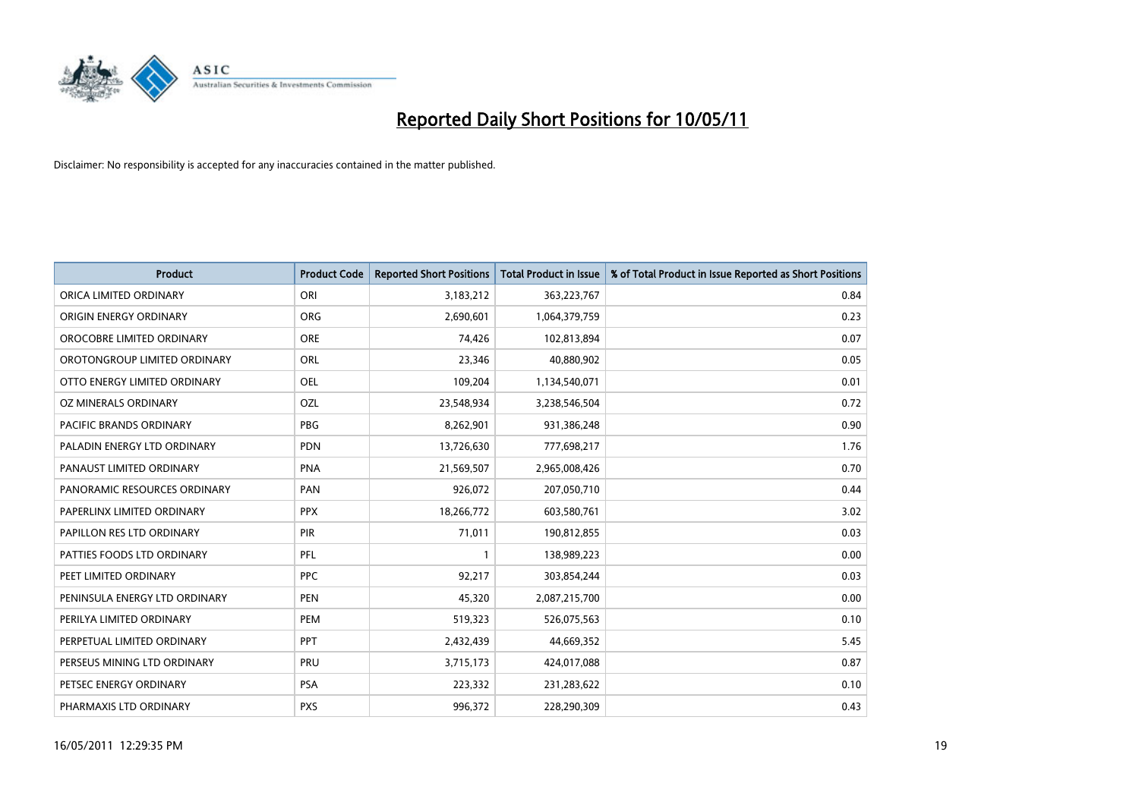

| <b>Product</b>                 | <b>Product Code</b> | <b>Reported Short Positions</b> | <b>Total Product in Issue</b> | % of Total Product in Issue Reported as Short Positions |
|--------------------------------|---------------------|---------------------------------|-------------------------------|---------------------------------------------------------|
| ORICA LIMITED ORDINARY         | ORI                 | 3,183,212                       | 363,223,767                   | 0.84                                                    |
| ORIGIN ENERGY ORDINARY         | ORG                 | 2,690,601                       | 1,064,379,759                 | 0.23                                                    |
| OROCOBRE LIMITED ORDINARY      | <b>ORE</b>          | 74,426                          | 102,813,894                   | 0.07                                                    |
| OROTONGROUP LIMITED ORDINARY   | ORL                 | 23,346                          | 40,880,902                    | 0.05                                                    |
| OTTO ENERGY LIMITED ORDINARY   | OEL                 | 109,204                         | 1,134,540,071                 | 0.01                                                    |
| OZ MINERALS ORDINARY           | OZL                 | 23,548,934                      | 3,238,546,504                 | 0.72                                                    |
| <b>PACIFIC BRANDS ORDINARY</b> | <b>PBG</b>          | 8,262,901                       | 931,386,248                   | 0.90                                                    |
| PALADIN ENERGY LTD ORDINARY    | <b>PDN</b>          | 13,726,630                      | 777,698,217                   | 1.76                                                    |
| PANAUST LIMITED ORDINARY       | <b>PNA</b>          | 21,569,507                      | 2,965,008,426                 | 0.70                                                    |
| PANORAMIC RESOURCES ORDINARY   | PAN                 | 926,072                         | 207,050,710                   | 0.44                                                    |
| PAPERLINX LIMITED ORDINARY     | <b>PPX</b>          | 18,266,772                      | 603,580,761                   | 3.02                                                    |
| PAPILLON RES LTD ORDINARY      | PIR                 | 71,011                          | 190,812,855                   | 0.03                                                    |
| PATTIES FOODS LTD ORDINARY     | PFL                 |                                 | 138,989,223                   | 0.00                                                    |
| PEET LIMITED ORDINARY          | <b>PPC</b>          | 92,217                          | 303,854,244                   | 0.03                                                    |
| PENINSULA ENERGY LTD ORDINARY  | <b>PEN</b>          | 45,320                          | 2,087,215,700                 | 0.00                                                    |
| PERILYA LIMITED ORDINARY       | PEM                 | 519,323                         | 526,075,563                   | 0.10                                                    |
| PERPETUAL LIMITED ORDINARY     | PPT                 | 2,432,439                       | 44,669,352                    | 5.45                                                    |
| PERSEUS MINING LTD ORDINARY    | PRU                 | 3,715,173                       | 424,017,088                   | 0.87                                                    |
| PETSEC ENERGY ORDINARY         | <b>PSA</b>          | 223,332                         | 231,283,622                   | 0.10                                                    |
| PHARMAXIS LTD ORDINARY         | <b>PXS</b>          | 996,372                         | 228,290,309                   | 0.43                                                    |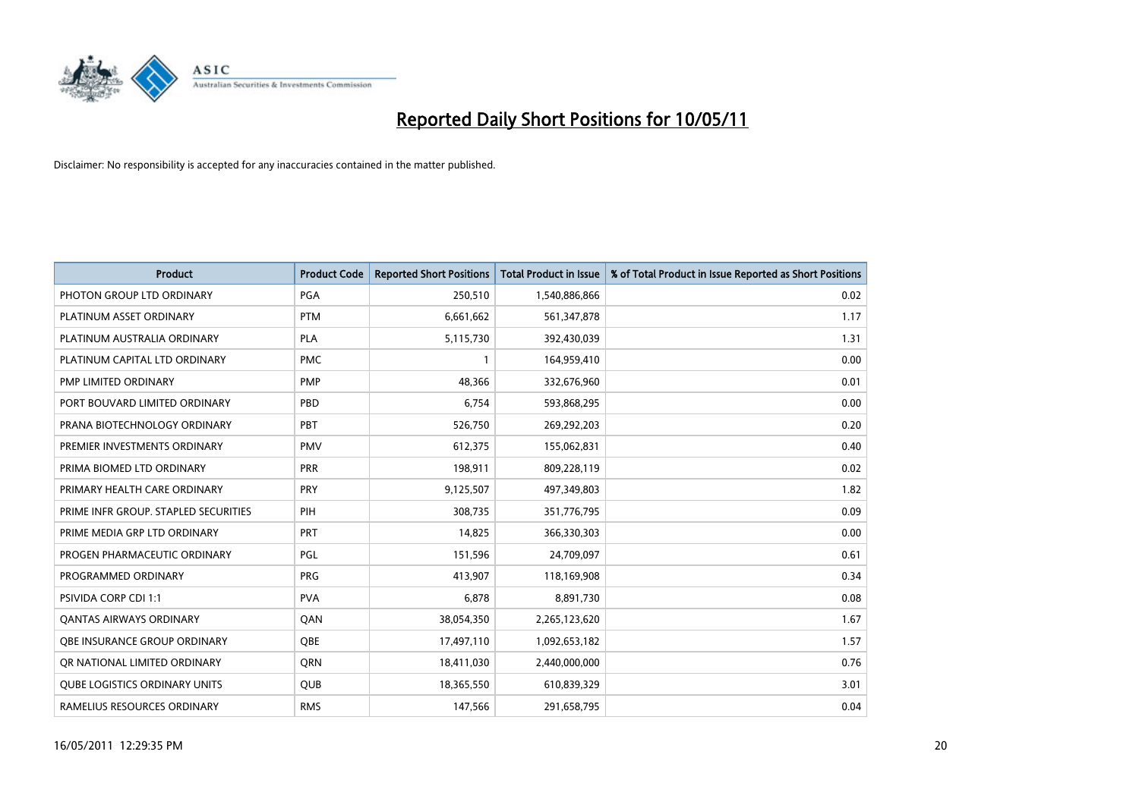

| <b>Product</b>                       | <b>Product Code</b> | <b>Reported Short Positions</b> | Total Product in Issue | % of Total Product in Issue Reported as Short Positions |
|--------------------------------------|---------------------|---------------------------------|------------------------|---------------------------------------------------------|
| PHOTON GROUP LTD ORDINARY            | PGA                 | 250,510                         | 1,540,886,866          | 0.02                                                    |
| PLATINUM ASSET ORDINARY              | <b>PTM</b>          | 6,661,662                       | 561,347,878            | 1.17                                                    |
| PLATINUM AUSTRALIA ORDINARY          | <b>PLA</b>          | 5,115,730                       | 392,430,039            | 1.31                                                    |
| PLATINUM CAPITAL LTD ORDINARY        | <b>PMC</b>          |                                 | 164,959,410            | 0.00                                                    |
| PMP LIMITED ORDINARY                 | PMP                 | 48,366                          | 332,676,960            | 0.01                                                    |
| PORT BOUVARD LIMITED ORDINARY        | PBD                 | 6,754                           | 593,868,295            | 0.00                                                    |
| PRANA BIOTECHNOLOGY ORDINARY         | PBT                 | 526,750                         | 269,292,203            | 0.20                                                    |
| PREMIER INVESTMENTS ORDINARY         | <b>PMV</b>          | 612,375                         | 155,062,831            | 0.40                                                    |
| PRIMA BIOMED LTD ORDINARY            | <b>PRR</b>          | 198,911                         | 809,228,119            | 0.02                                                    |
| PRIMARY HEALTH CARE ORDINARY         | PRY                 | 9,125,507                       | 497,349,803            | 1.82                                                    |
| PRIME INFR GROUP. STAPLED SECURITIES | PIH                 | 308,735                         | 351,776,795            | 0.09                                                    |
| PRIME MEDIA GRP LTD ORDINARY         | PRT                 | 14,825                          | 366,330,303            | 0.00                                                    |
| PROGEN PHARMACEUTIC ORDINARY         | PGL                 | 151,596                         | 24,709,097             | 0.61                                                    |
| PROGRAMMED ORDINARY                  | <b>PRG</b>          | 413,907                         | 118,169,908            | 0.34                                                    |
| <b>PSIVIDA CORP CDI 1:1</b>          | <b>PVA</b>          | 6,878                           | 8,891,730              | 0.08                                                    |
| <b>QANTAS AIRWAYS ORDINARY</b>       | QAN                 | 38,054,350                      | 2,265,123,620          | 1.67                                                    |
| OBE INSURANCE GROUP ORDINARY         | OBE                 | 17,497,110                      | 1,092,653,182          | 1.57                                                    |
| OR NATIONAL LIMITED ORDINARY         | <b>ORN</b>          | 18,411,030                      | 2,440,000,000          | 0.76                                                    |
| <b>OUBE LOGISTICS ORDINARY UNITS</b> | QUB                 | 18,365,550                      | 610,839,329            | 3.01                                                    |
| RAMELIUS RESOURCES ORDINARY          | <b>RMS</b>          | 147,566                         | 291,658,795            | 0.04                                                    |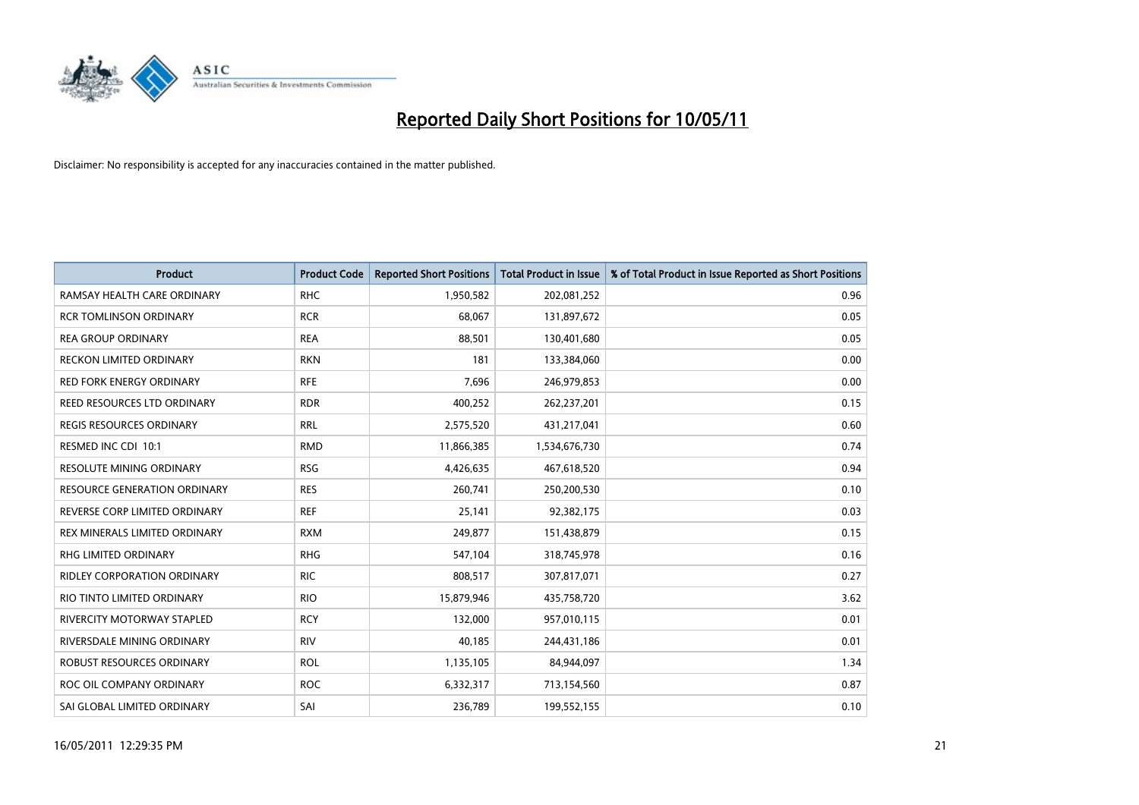

| <b>Product</b>                      | <b>Product Code</b> | <b>Reported Short Positions</b> | Total Product in Issue | % of Total Product in Issue Reported as Short Positions |
|-------------------------------------|---------------------|---------------------------------|------------------------|---------------------------------------------------------|
| RAMSAY HEALTH CARE ORDINARY         | <b>RHC</b>          | 1,950,582                       | 202,081,252            | 0.96                                                    |
| <b>RCR TOMLINSON ORDINARY</b>       | <b>RCR</b>          | 68,067                          | 131,897,672            | 0.05                                                    |
| <b>REA GROUP ORDINARY</b>           | <b>REA</b>          | 88,501                          | 130,401,680            | 0.05                                                    |
| RECKON LIMITED ORDINARY             | <b>RKN</b>          | 181                             | 133,384,060            | 0.00                                                    |
| <b>RED FORK ENERGY ORDINARY</b>     | <b>RFE</b>          | 7,696                           | 246,979,853            | 0.00                                                    |
| REED RESOURCES LTD ORDINARY         | <b>RDR</b>          | 400,252                         | 262,237,201            | 0.15                                                    |
| REGIS RESOURCES ORDINARY            | <b>RRL</b>          | 2,575,520                       | 431,217,041            | 0.60                                                    |
| RESMED INC CDI 10:1                 | <b>RMD</b>          | 11,866,385                      | 1,534,676,730          | 0.74                                                    |
| <b>RESOLUTE MINING ORDINARY</b>     | <b>RSG</b>          | 4,426,635                       | 467,618,520            | 0.94                                                    |
| <b>RESOURCE GENERATION ORDINARY</b> | <b>RES</b>          | 260,741                         | 250,200,530            | 0.10                                                    |
| REVERSE CORP LIMITED ORDINARY       | <b>REF</b>          | 25,141                          | 92,382,175             | 0.03                                                    |
| REX MINERALS LIMITED ORDINARY       | <b>RXM</b>          | 249,877                         | 151,438,879            | 0.15                                                    |
| RHG LIMITED ORDINARY                | <b>RHG</b>          | 547,104                         | 318,745,978            | 0.16                                                    |
| <b>RIDLEY CORPORATION ORDINARY</b>  | <b>RIC</b>          | 808,517                         | 307,817,071            | 0.27                                                    |
| RIO TINTO LIMITED ORDINARY          | <b>RIO</b>          | 15,879,946                      | 435,758,720            | 3.62                                                    |
| <b>RIVERCITY MOTORWAY STAPLED</b>   | <b>RCY</b>          | 132,000                         | 957,010,115            | 0.01                                                    |
| RIVERSDALE MINING ORDINARY          | <b>RIV</b>          | 40,185                          | 244,431,186            | 0.01                                                    |
| ROBUST RESOURCES ORDINARY           | <b>ROL</b>          | 1,135,105                       | 84,944,097             | 1.34                                                    |
| ROC OIL COMPANY ORDINARY            | <b>ROC</b>          | 6,332,317                       | 713,154,560            | 0.87                                                    |
| SAI GLOBAL LIMITED ORDINARY         | SAI                 | 236,789                         | 199,552,155            | 0.10                                                    |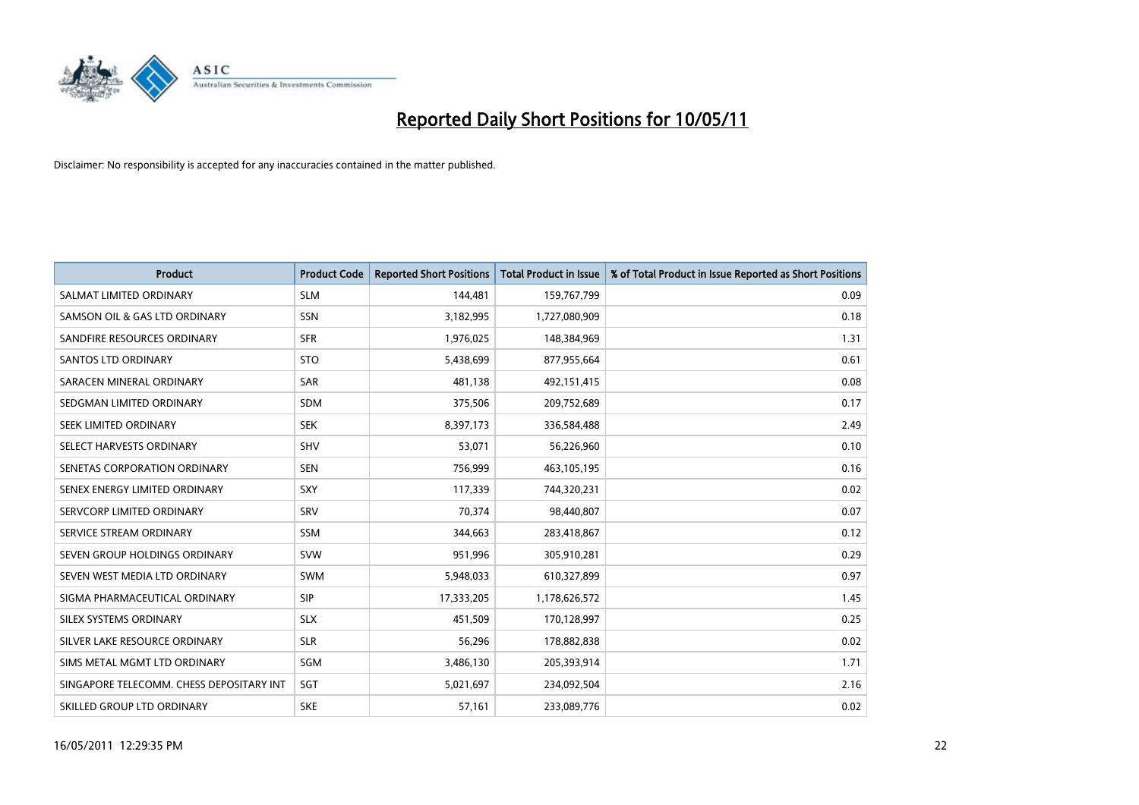

| <b>Product</b>                           | <b>Product Code</b> | <b>Reported Short Positions</b> | <b>Total Product in Issue</b> | % of Total Product in Issue Reported as Short Positions |
|------------------------------------------|---------------------|---------------------------------|-------------------------------|---------------------------------------------------------|
| SALMAT LIMITED ORDINARY                  | <b>SLM</b>          | 144,481                         | 159,767,799                   | 0.09                                                    |
| SAMSON OIL & GAS LTD ORDINARY            | <b>SSN</b>          | 3,182,995                       | 1,727,080,909                 | 0.18                                                    |
| SANDFIRE RESOURCES ORDINARY              | <b>SFR</b>          | 1,976,025                       | 148,384,969                   | 1.31                                                    |
| <b>SANTOS LTD ORDINARY</b>               | <b>STO</b>          | 5,438,699                       | 877,955,664                   | 0.61                                                    |
| SARACEN MINERAL ORDINARY                 | SAR                 | 481,138                         | 492,151,415                   | 0.08                                                    |
| SEDGMAN LIMITED ORDINARY                 | <b>SDM</b>          | 375,506                         | 209,752,689                   | 0.17                                                    |
| SEEK LIMITED ORDINARY                    | <b>SEK</b>          | 8,397,173                       | 336,584,488                   | 2.49                                                    |
| SELECT HARVESTS ORDINARY                 | <b>SHV</b>          | 53,071                          | 56,226,960                    | 0.10                                                    |
| SENETAS CORPORATION ORDINARY             | <b>SEN</b>          | 756,999                         | 463,105,195                   | 0.16                                                    |
| SENEX ENERGY LIMITED ORDINARY            | SXY                 | 117,339                         | 744,320,231                   | 0.02                                                    |
| SERVCORP LIMITED ORDINARY                | SRV                 | 70,374                          | 98,440,807                    | 0.07                                                    |
| SERVICE STREAM ORDINARY                  | <b>SSM</b>          | 344,663                         | 283,418,867                   | 0.12                                                    |
| SEVEN GROUP HOLDINGS ORDINARY            | <b>SVW</b>          | 951,996                         | 305,910,281                   | 0.29                                                    |
| SEVEN WEST MEDIA LTD ORDINARY            | <b>SWM</b>          | 5,948,033                       | 610,327,899                   | 0.97                                                    |
| SIGMA PHARMACEUTICAL ORDINARY            | SIP                 | 17,333,205                      | 1,178,626,572                 | 1.45                                                    |
| SILEX SYSTEMS ORDINARY                   | <b>SLX</b>          | 451,509                         | 170,128,997                   | 0.25                                                    |
| SILVER LAKE RESOURCE ORDINARY            | <b>SLR</b>          | 56,296                          | 178,882,838                   | 0.02                                                    |
| SIMS METAL MGMT LTD ORDINARY             | <b>SGM</b>          | 3,486,130                       | 205,393,914                   | 1.71                                                    |
| SINGAPORE TELECOMM. CHESS DEPOSITARY INT | SGT                 | 5,021,697                       | 234,092,504                   | 2.16                                                    |
| SKILLED GROUP LTD ORDINARY               | <b>SKE</b>          | 57,161                          | 233,089,776                   | 0.02                                                    |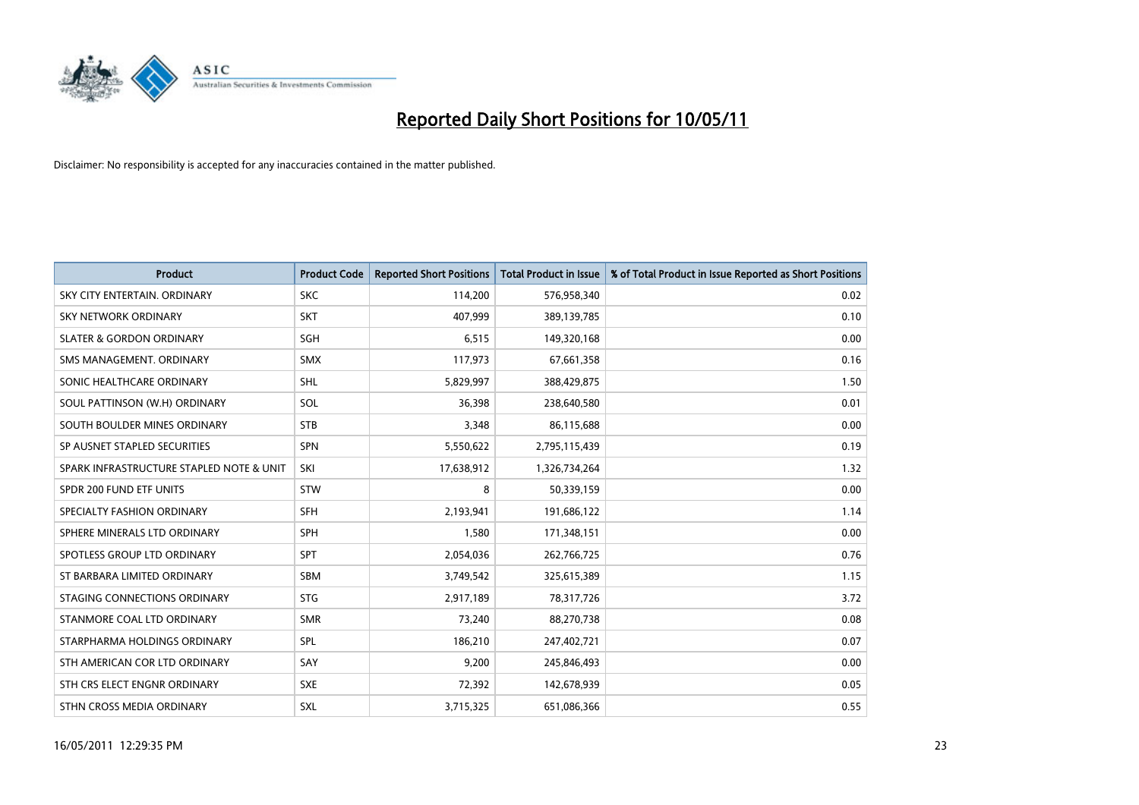

| <b>Product</b>                           | <b>Product Code</b> | <b>Reported Short Positions</b> | <b>Total Product in Issue</b> | % of Total Product in Issue Reported as Short Positions |
|------------------------------------------|---------------------|---------------------------------|-------------------------------|---------------------------------------------------------|
| SKY CITY ENTERTAIN, ORDINARY             | <b>SKC</b>          | 114,200                         | 576,958,340                   | 0.02                                                    |
| SKY NETWORK ORDINARY                     | <b>SKT</b>          | 407,999                         | 389,139,785                   | 0.10                                                    |
| <b>SLATER &amp; GORDON ORDINARY</b>      | SGH                 | 6,515                           | 149,320,168                   | 0.00                                                    |
| SMS MANAGEMENT, ORDINARY                 | <b>SMX</b>          | 117,973                         | 67,661,358                    | 0.16                                                    |
| SONIC HEALTHCARE ORDINARY                | <b>SHL</b>          | 5,829,997                       | 388,429,875                   | 1.50                                                    |
| SOUL PATTINSON (W.H) ORDINARY            | SOL                 | 36,398                          | 238,640,580                   | 0.01                                                    |
| SOUTH BOULDER MINES ORDINARY             | <b>STB</b>          | 3,348                           | 86,115,688                    | 0.00                                                    |
| SP AUSNET STAPLED SECURITIES             | <b>SPN</b>          | 5,550,622                       | 2,795,115,439                 | 0.19                                                    |
| SPARK INFRASTRUCTURE STAPLED NOTE & UNIT | SKI                 | 17,638,912                      | 1,326,734,264                 | 1.32                                                    |
| SPDR 200 FUND ETF UNITS                  | <b>STW</b>          | 8                               | 50,339,159                    | 0.00                                                    |
| SPECIALTY FASHION ORDINARY               | <b>SFH</b>          | 2,193,941                       | 191,686,122                   | 1.14                                                    |
| SPHERE MINERALS LTD ORDINARY             | <b>SPH</b>          | 1,580                           | 171,348,151                   | 0.00                                                    |
| SPOTLESS GROUP LTD ORDINARY              | <b>SPT</b>          | 2,054,036                       | 262,766,725                   | 0.76                                                    |
| ST BARBARA LIMITED ORDINARY              | SBM                 | 3,749,542                       | 325,615,389                   | 1.15                                                    |
| STAGING CONNECTIONS ORDINARY             | <b>STG</b>          | 2,917,189                       | 78,317,726                    | 3.72                                                    |
| STANMORE COAL LTD ORDINARY               | <b>SMR</b>          | 73,240                          | 88,270,738                    | 0.08                                                    |
| STARPHARMA HOLDINGS ORDINARY             | SPL                 | 186,210                         | 247,402,721                   | 0.07                                                    |
| STH AMERICAN COR LTD ORDINARY            | SAY                 | 9,200                           | 245,846,493                   | 0.00                                                    |
| STH CRS ELECT ENGNR ORDINARY             | <b>SXE</b>          | 72,392                          | 142,678,939                   | 0.05                                                    |
| STHN CROSS MEDIA ORDINARY                | <b>SXL</b>          | 3,715,325                       | 651,086,366                   | 0.55                                                    |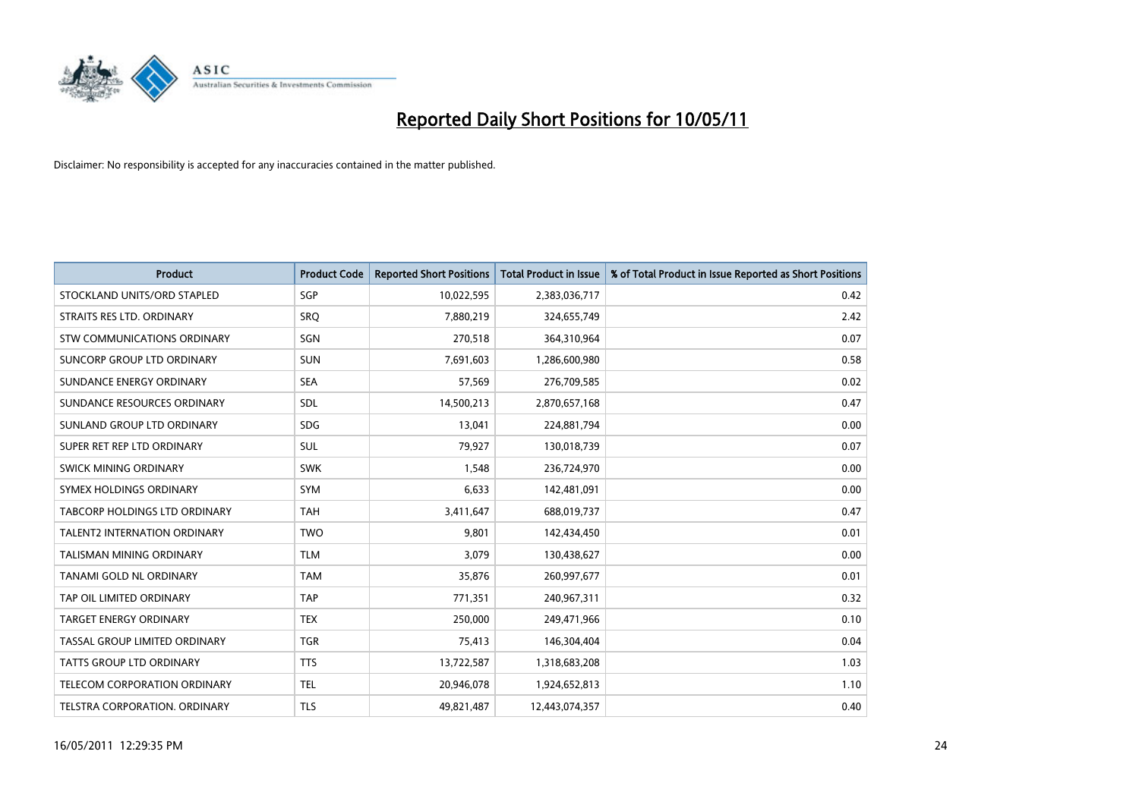

| <b>Product</b>                      | <b>Product Code</b> | <b>Reported Short Positions</b> | <b>Total Product in Issue</b> | % of Total Product in Issue Reported as Short Positions |
|-------------------------------------|---------------------|---------------------------------|-------------------------------|---------------------------------------------------------|
| STOCKLAND UNITS/ORD STAPLED         | SGP                 | 10,022,595                      | 2,383,036,717                 | 0.42                                                    |
| STRAITS RES LTD. ORDINARY           | SRQ                 | 7,880,219                       | 324,655,749                   | 2.42                                                    |
| <b>STW COMMUNICATIONS ORDINARY</b>  | SGN                 | 270,518                         | 364,310,964                   | 0.07                                                    |
| SUNCORP GROUP LTD ORDINARY          | <b>SUN</b>          | 7,691,603                       | 1,286,600,980                 | 0.58                                                    |
| SUNDANCE ENERGY ORDINARY            | <b>SEA</b>          | 57,569                          | 276,709,585                   | 0.02                                                    |
| SUNDANCE RESOURCES ORDINARY         | SDL                 | 14,500,213                      | 2,870,657,168                 | 0.47                                                    |
| SUNLAND GROUP LTD ORDINARY          | <b>SDG</b>          | 13,041                          | 224,881,794                   | 0.00                                                    |
| SUPER RET REP LTD ORDINARY          | SUL                 | 79,927                          | 130,018,739                   | 0.07                                                    |
| SWICK MINING ORDINARY               | <b>SWK</b>          | 1,548                           | 236,724,970                   | 0.00                                                    |
| SYMEX HOLDINGS ORDINARY             | <b>SYM</b>          | 6,633                           | 142,481,091                   | 0.00                                                    |
| TABCORP HOLDINGS LTD ORDINARY       | <b>TAH</b>          | 3,411,647                       | 688,019,737                   | 0.47                                                    |
| <b>TALENT2 INTERNATION ORDINARY</b> | <b>TWO</b>          | 9.801                           | 142,434,450                   | 0.01                                                    |
| <b>TALISMAN MINING ORDINARY</b>     | <b>TLM</b>          | 3,079                           | 130,438,627                   | 0.00                                                    |
| <b>TANAMI GOLD NL ORDINARY</b>      | <b>TAM</b>          | 35,876                          | 260,997,677                   | 0.01                                                    |
| TAP OIL LIMITED ORDINARY            | <b>TAP</b>          | 771,351                         | 240,967,311                   | 0.32                                                    |
| TARGET ENERGY ORDINARY              | <b>TEX</b>          | 250,000                         | 249,471,966                   | 0.10                                                    |
| TASSAL GROUP LIMITED ORDINARY       | <b>TGR</b>          | 75,413                          | 146,304,404                   | 0.04                                                    |
| <b>TATTS GROUP LTD ORDINARY</b>     | <b>TTS</b>          | 13,722,587                      | 1,318,683,208                 | 1.03                                                    |
| TELECOM CORPORATION ORDINARY        | <b>TEL</b>          | 20,946,078                      | 1,924,652,813                 | 1.10                                                    |
| TELSTRA CORPORATION, ORDINARY       | <b>TLS</b>          | 49,821,487                      | 12,443,074,357                | 0.40                                                    |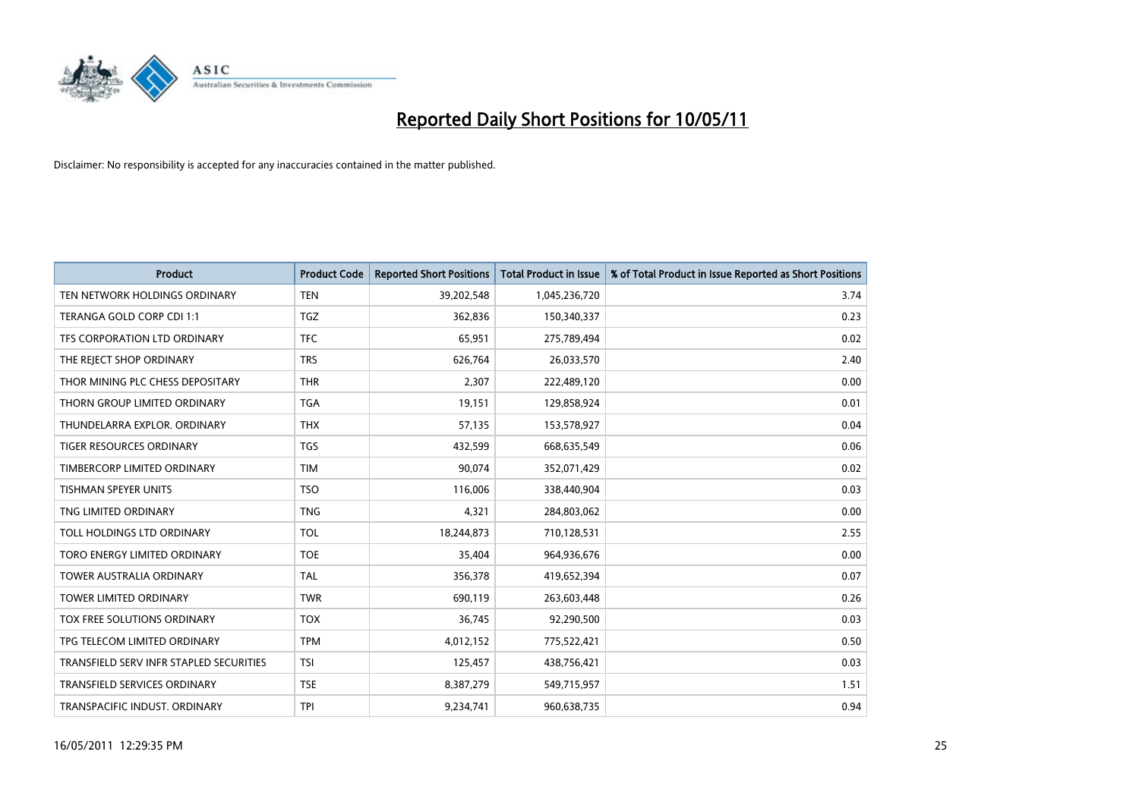

| <b>Product</b>                          | <b>Product Code</b> | <b>Reported Short Positions</b> | <b>Total Product in Issue</b> | % of Total Product in Issue Reported as Short Positions |
|-----------------------------------------|---------------------|---------------------------------|-------------------------------|---------------------------------------------------------|
| TEN NETWORK HOLDINGS ORDINARY           | <b>TEN</b>          | 39,202,548                      | 1,045,236,720                 | 3.74                                                    |
| TERANGA GOLD CORP CDI 1:1               | TGZ                 | 362,836                         | 150,340,337                   | 0.23                                                    |
| TFS CORPORATION LTD ORDINARY            | <b>TFC</b>          | 65,951                          | 275,789,494                   | 0.02                                                    |
| THE REJECT SHOP ORDINARY                | <b>TRS</b>          | 626,764                         | 26,033,570                    | 2.40                                                    |
| THOR MINING PLC CHESS DEPOSITARY        | <b>THR</b>          | 2,307                           | 222,489,120                   | 0.00                                                    |
| THORN GROUP LIMITED ORDINARY            | <b>TGA</b>          | 19,151                          | 129,858,924                   | 0.01                                                    |
| THUNDELARRA EXPLOR, ORDINARY            | <b>THX</b>          | 57,135                          | 153,578,927                   | 0.04                                                    |
| TIGER RESOURCES ORDINARY                | <b>TGS</b>          | 432,599                         | 668,635,549                   | 0.06                                                    |
| TIMBERCORP LIMITED ORDINARY             | <b>TIM</b>          | 90,074                          | 352,071,429                   | 0.02                                                    |
| <b>TISHMAN SPEYER UNITS</b>             | <b>TSO</b>          | 116,006                         | 338,440,904                   | 0.03                                                    |
| TNG LIMITED ORDINARY                    | <b>TNG</b>          | 4,321                           | 284,803,062                   | 0.00                                                    |
| TOLL HOLDINGS LTD ORDINARY              | <b>TOL</b>          | 18,244,873                      | 710,128,531                   | 2.55                                                    |
| TORO ENERGY LIMITED ORDINARY            | <b>TOE</b>          | 35,404                          | 964,936,676                   | 0.00                                                    |
| <b>TOWER AUSTRALIA ORDINARY</b>         | <b>TAL</b>          | 356,378                         | 419,652,394                   | 0.07                                                    |
| <b>TOWER LIMITED ORDINARY</b>           | <b>TWR</b>          | 690,119                         | 263,603,448                   | 0.26                                                    |
| TOX FREE SOLUTIONS ORDINARY             | <b>TOX</b>          | 36,745                          | 92,290,500                    | 0.03                                                    |
| TPG TELECOM LIMITED ORDINARY            | <b>TPM</b>          | 4,012,152                       | 775,522,421                   | 0.50                                                    |
| TRANSFIELD SERV INFR STAPLED SECURITIES | <b>TSI</b>          | 125,457                         | 438,756,421                   | 0.03                                                    |
| <b>TRANSFIELD SERVICES ORDINARY</b>     | <b>TSE</b>          | 8,387,279                       | 549,715,957                   | 1.51                                                    |
| TRANSPACIFIC INDUST. ORDINARY           | <b>TPI</b>          | 9,234,741                       | 960,638,735                   | 0.94                                                    |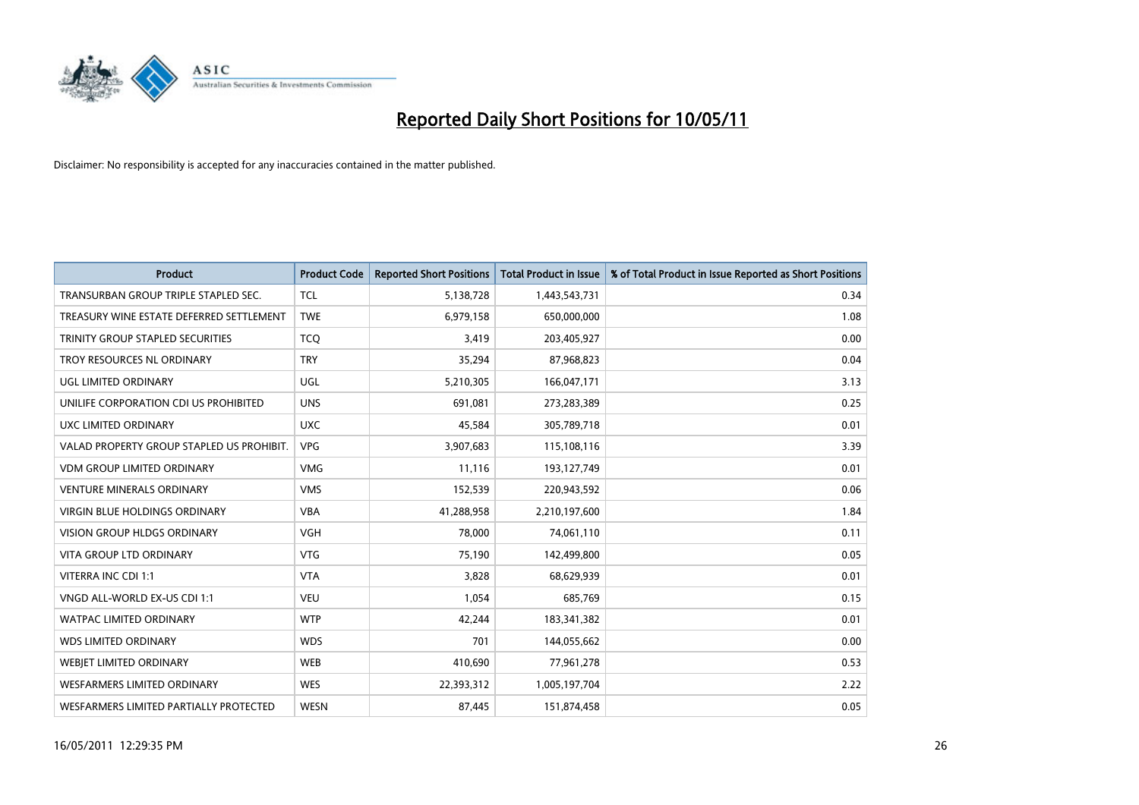

| <b>Product</b>                            | <b>Product Code</b> | <b>Reported Short Positions</b> | Total Product in Issue | % of Total Product in Issue Reported as Short Positions |
|-------------------------------------------|---------------------|---------------------------------|------------------------|---------------------------------------------------------|
| TRANSURBAN GROUP TRIPLE STAPLED SEC.      | <b>TCL</b>          | 5,138,728                       | 1,443,543,731          | 0.34                                                    |
| TREASURY WINE ESTATE DEFERRED SETTLEMENT  | <b>TWE</b>          | 6,979,158                       | 650,000,000            | 1.08                                                    |
| TRINITY GROUP STAPLED SECURITIES          | <b>TCO</b>          | 3,419                           | 203,405,927            | 0.00                                                    |
| TROY RESOURCES NL ORDINARY                | <b>TRY</b>          | 35,294                          | 87,968,823             | 0.04                                                    |
| UGL LIMITED ORDINARY                      | UGL                 | 5,210,305                       | 166,047,171            | 3.13                                                    |
| UNILIFE CORPORATION CDI US PROHIBITED     | <b>UNS</b>          | 691,081                         | 273,283,389            | 0.25                                                    |
| UXC LIMITED ORDINARY                      | <b>UXC</b>          | 45,584                          | 305,789,718            | 0.01                                                    |
| VALAD PROPERTY GROUP STAPLED US PROHIBIT. | <b>VPG</b>          | 3,907,683                       | 115,108,116            | 3.39                                                    |
| VDM GROUP LIMITED ORDINARY                | <b>VMG</b>          | 11,116                          | 193,127,749            | 0.01                                                    |
| <b>VENTURE MINERALS ORDINARY</b>          | <b>VMS</b>          | 152,539                         | 220,943,592            | 0.06                                                    |
| <b>VIRGIN BLUE HOLDINGS ORDINARY</b>      | <b>VBA</b>          | 41,288,958                      | 2,210,197,600          | 1.84                                                    |
| <b>VISION GROUP HLDGS ORDINARY</b>        | <b>VGH</b>          | 78,000                          | 74,061,110             | 0.11                                                    |
| <b>VITA GROUP LTD ORDINARY</b>            | <b>VTG</b>          | 75,190                          | 142,499,800            | 0.05                                                    |
| VITERRA INC CDI 1:1                       | <b>VTA</b>          | 3,828                           | 68,629,939             | 0.01                                                    |
| VNGD ALL-WORLD EX-US CDI 1:1              | <b>VEU</b>          | 1,054                           | 685,769                | 0.15                                                    |
| <b>WATPAC LIMITED ORDINARY</b>            | <b>WTP</b>          | 42,244                          | 183,341,382            | 0.01                                                    |
| <b>WDS LIMITED ORDINARY</b>               | <b>WDS</b>          | 701                             | 144,055,662            | 0.00                                                    |
| WEBJET LIMITED ORDINARY                   | <b>WEB</b>          | 410,690                         | 77,961,278             | 0.53                                                    |
| WESFARMERS LIMITED ORDINARY               | <b>WES</b>          | 22,393,312                      | 1,005,197,704          | 2.22                                                    |
| WESFARMERS LIMITED PARTIALLY PROTECTED    | <b>WESN</b>         | 87,445                          | 151,874,458            | 0.05                                                    |